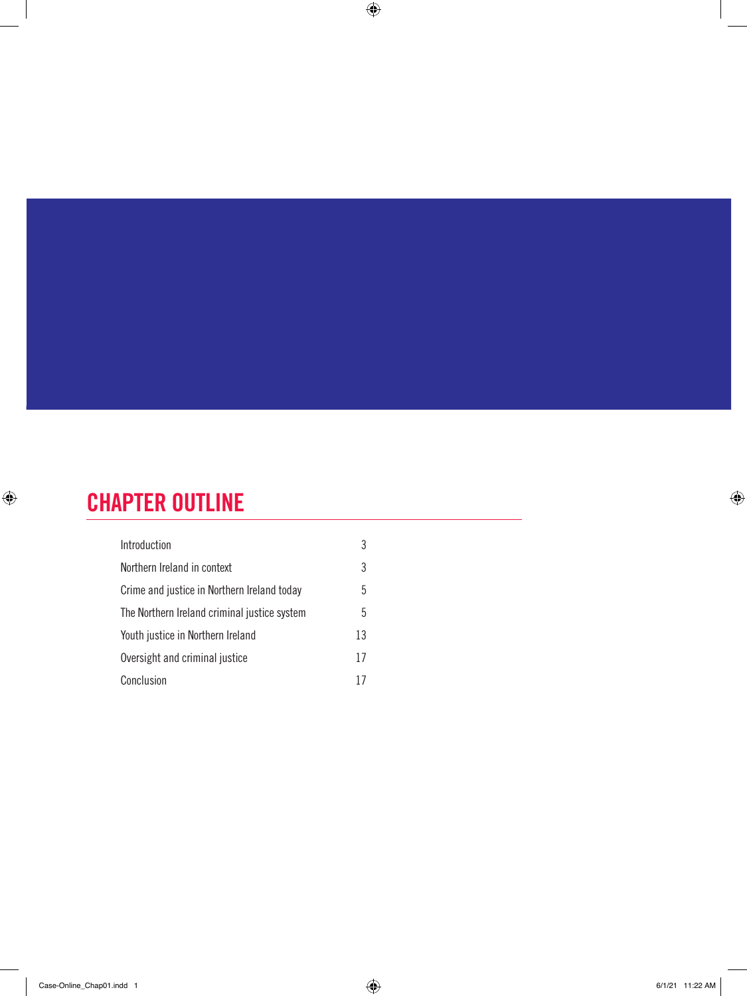## CHAPTER OUTLINE

 $\bigoplus$ 

| Introduction                                 | 3  |
|----------------------------------------------|----|
| Northern Ireland in context                  | 3  |
| Crime and justice in Northern Ireland today  | 5  |
| The Northern Ireland criminal justice system | 5  |
| Youth justice in Northern Ireland            | 13 |
| Oversight and criminal justice               | 17 |
| Conclusion                                   |    |

 $\bigoplus$ 

 $\bigoplus$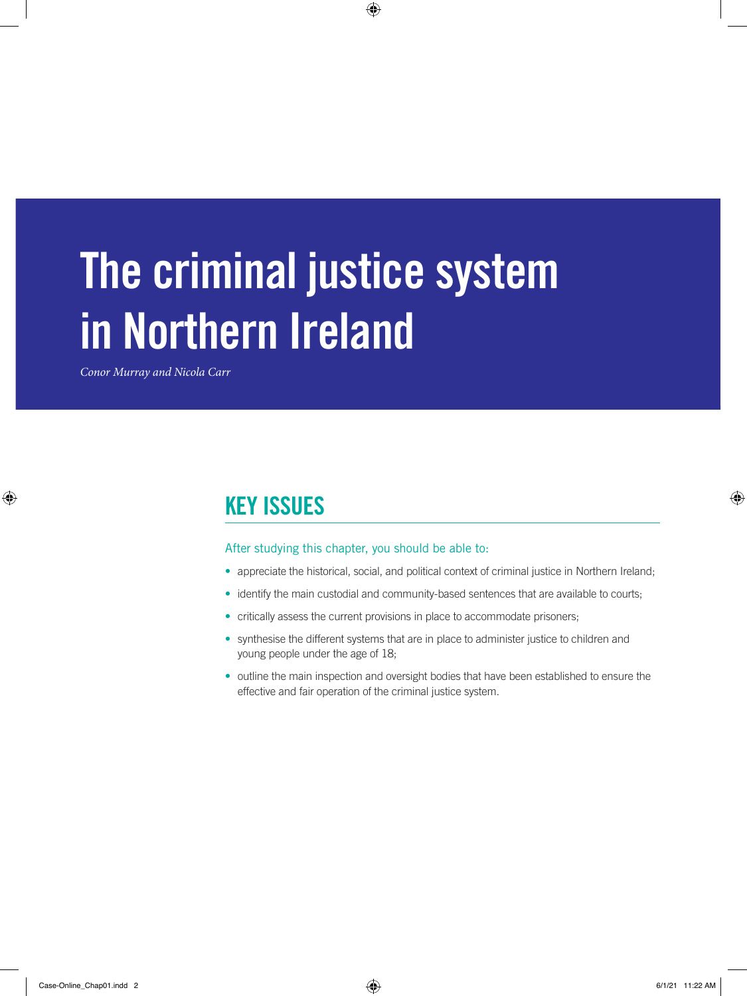# The criminal justice system in Northern Ireland

 $\bigoplus$ 

*Conor Murray and Nicola Carr*

 $\bigoplus$ 

## KEY ISSUES

#### After studying this chapter, you should be able to:

- appreciate the historical, social, and political context of criminal justice in Northern Ireland;
- identify the main custodial and community-based sentences that are available to courts;
- critically assess the current provisions in place to accommodate prisoners;
- synthesise the different systems that are in place to administer justice to children and young people under the age of 18;
- outline the main inspection and oversight bodies that have been established to ensure the effective and fair operation of the criminal justice system.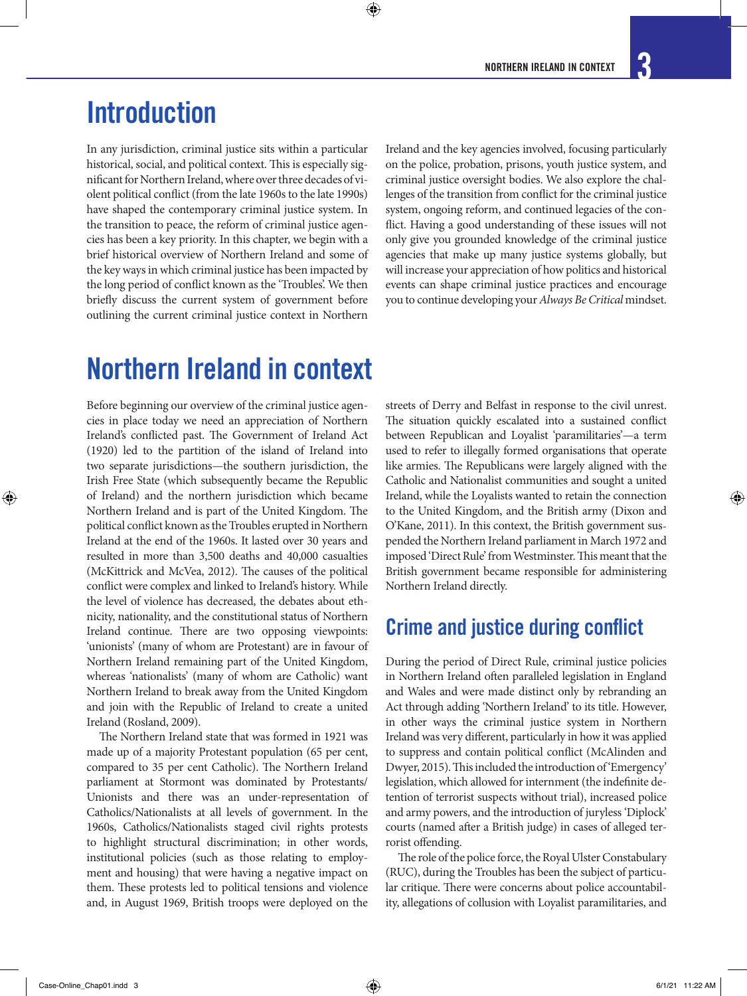## Introduction

In any jurisdiction, criminal justice sits within a particular historical, social, and political context. This is especially significant for Northern Ireland, where over three decades of violent political conflict (from the late 1960s to the late 1990s) have shaped the contemporary criminal justice system. In the transition to peace, the reform of criminal justice agencies has been a key priority. In this chapter, we begin with a brief historical overview of Northern Ireland and some of the key ways in which criminal justice has been impacted by the long period of conflict known as the 'Troubles'. We then briefly discuss the current system of government before outlining the current criminal justice context in Northern

Ireland and the key agencies involved, focusing particularly on the police, probation, prisons, youth justice system, and criminal justice oversight bodies. We also explore the challenges of the transition from conflict for the criminal justice system, ongoing reform, and continued legacies of the conflict. Having a good understanding of these issues will not only give you grounded knowledge of the criminal justice agencies that make up many justice systems globally, but will increase your appreciation of how politics and historical events can shape criminal justice practices and encourage you to continue developing your *Always Be Critical* mindset.

## Northern Ireland in context

Before beginning our overview of the criminal justice agencies in place today we need an appreciation of Northern Ireland's conflicted past. The Government of Ireland Act (1920) led to the partition of the island of Ireland into two separate jurisdictions—the southern jurisdiction, the Irish Free State (which subsequently became the Republic of Ireland) and the northern jurisdiction which became Northern Ireland and is part of the United Kingdom. The political conflict known as the Troubles erupted in Northern Ireland at the end of the 1960s. It lasted over 30 years and resulted in more than 3,500 deaths and 40,000 casualties (McKittrick and McVea, 2012). The causes of the political conflict were complex and linked to Ireland's history. While the level of violence has decreased, the debates about ethnicity, nationality, and the constitutional status of Northern Ireland continue. There are two opposing viewpoints: 'unionists' (many of whom are Protestant) are in favour of Northern Ireland remaining part of the United Kingdom, whereas 'nationalists' (many of whom are Catholic) want Northern Ireland to break away from the United Kingdom and join with the Republic of Ireland to create a united Ireland (Rosland, 2009).

The Northern Ireland state that was formed in 1921 was made up of a majority Protestant population (65 per cent, compared to 35 per cent Catholic). The Northern Ireland parliament at Stormont was dominated by Protestants/ Unionists and there was an under-representation of Catholics/Nationalists at all levels of government. In the 1960s, Catholics/Nationalists staged civil rights protests to highlight structural discrimination; in other words, institutional policies (such as those relating to employment and housing) that were having a negative impact on them. These protests led to political tensions and violence and, in August 1969, British troops were deployed on the

streets of Derry and Belfast in response to the civil unrest. The situation quickly escalated into a sustained conflict between Republican and Loyalist 'paramilitaries'—a term used to refer to illegally formed organisations that operate like armies. The Republicans were largely aligned with the Catholic and Nationalist communities and sought a united Ireland, while the Loyalists wanted to retain the connection to the United Kingdom, and the British army (Dixon and O'Kane, 2011). In this context, the British government suspended the Northern Ireland parliament in March 1972 and imposed 'Direct Rule' from Westminster. This meant that the British government became responsible for administering Northern Ireland directly.

## Crime and justice during conflict

During the period of Direct Rule, criminal justice policies in Northern Ireland often paralleled legislation in England and Wales and were made distinct only by rebranding an Act through adding 'Northern Ireland' to its title. However, in other ways the criminal justice system in Northern Ireland was very different, particularly in how it was applied to suppress and contain political conflict (McAlinden and Dwyer, 2015). This included the introduction of 'Emergency' legislation, which allowed for internment (the indefinite detention of terrorist suspects without trial), increased police and army powers, and the introduction of juryless 'Diplock' courts (named after a British judge) in cases of alleged terrorist offending.

The role of the police force, the Royal Ulster Constabulary (RUC), during the Troubles has been the subject of particular critique. There were concerns about police accountability, allegations of collusion with Loyalist paramilitaries, and

⊕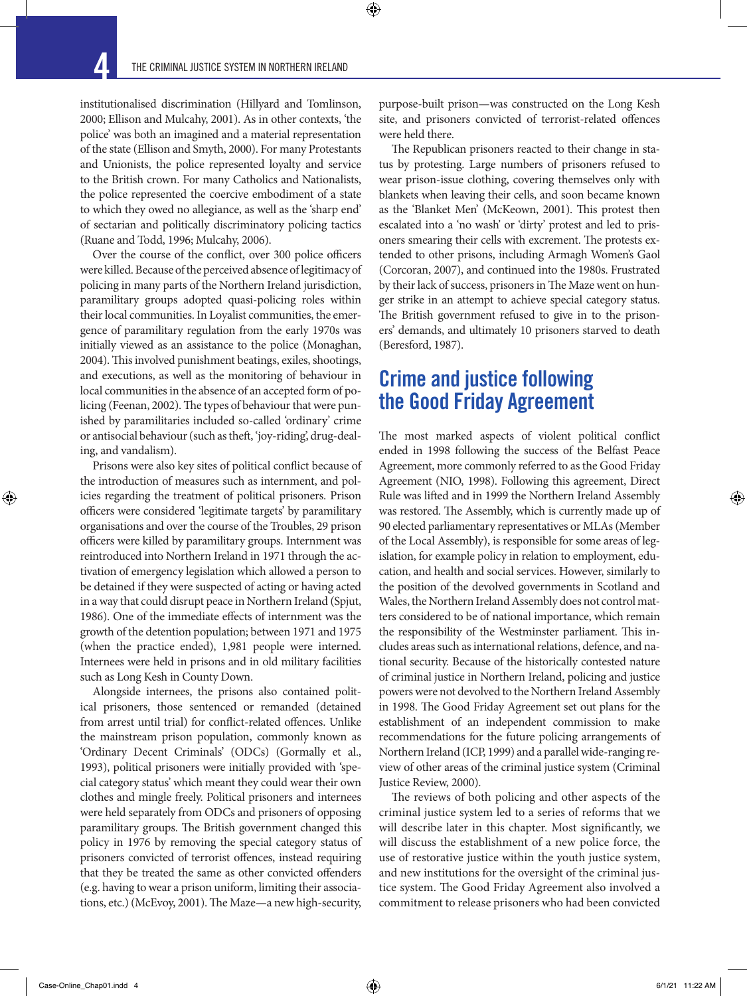⊕

institutionalised discrimination (Hillyard and Tomlinson, 2000; Ellison and Mulcahy, 2001). As in other contexts, 'the police' was both an imagined and a material representation of the state (Ellison and Smyth, 2000). For many Protestants and Unionists, the police represented loyalty and service to the British crown. For many Catholics and Nationalists, the police represented the coercive embodiment of a state to which they owed no allegiance, as well as the 'sharp end' of sectarian and politically discriminatory policing tactics (Ruane and Todd, 1996; Mulcahy, 2006).

Over the course of the conflict, over 300 police officers were killed. Because of the perceived absence of legitimacy of policing in many parts of the Northern Ireland jurisdiction, paramilitary groups adopted quasi-policing roles within their local communities. In Loyalist communities, the emergence of paramilitary regulation from the early 1970s was initially viewed as an assistance to the police (Monaghan, 2004). This involved punishment beatings, exiles, shootings, and executions, as well as the monitoring of behaviour in local communities in the absence of an accepted form of policing (Feenan, 2002). The types of behaviour that were punished by paramilitaries included so-called 'ordinary' crime or antisocial behaviour (such as theft, 'joy-riding', drug-dealing, and vandalism).

Prisons were also key sites of political conflict because of the introduction of measures such as internment, and policies regarding the treatment of political prisoners. Prison officers were considered 'legitimate targets' by paramilitary organisations and over the course of the Troubles, 29 prison officers were killed by paramilitary groups. Internment was reintroduced into Northern Ireland in 1971 through the activation of emergency legislation which allowed a person to be detained if they were suspected of acting or having acted in a way that could disrupt peace in Northern Ireland (Spjut, 1986). One of the immediate effects of internment was the growth of the detention population; between 1971 and 1975 (when the practice ended), 1,981 people were interned. Internees were held in prisons and in old military facilities such as Long Kesh in County Down.

Alongside internees, the prisons also contained political prisoners, those sentenced or remanded (detained from arrest until trial) for conflict-related offences. Unlike the mainstream prison population, commonly known as 'Ordinary Decent Criminals' (ODCs) (Gormally et al., 1993), political prisoners were initially provided with 'special category status' which meant they could wear their own clothes and mingle freely. Political prisoners and internees were held separately from ODCs and prisoners of opposing paramilitary groups. The British government changed this policy in 1976 by removing the special category status of prisoners convicted of terrorist offences, instead requiring that they be treated the same as other convicted offenders (e.g. having to wear a prison uniform, limiting their associations, etc.) (McEvoy, 2001). The Maze—a new high-security,

purpose-built prison—was constructed on the Long Kesh site, and prisoners convicted of terrorist-related offences were held there.

The Republican prisoners reacted to their change in status by protesting. Large numbers of prisoners refused to wear prison-issue clothing, covering themselves only with blankets when leaving their cells, and soon became known as the 'Blanket Men' (McKeown, 2001). This protest then escalated into a 'no wash' or 'dirty' protest and led to prisoners smearing their cells with excrement. The protests extended to other prisons, including Armagh Women's Gaol (Corcoran, 2007), and continued into the 1980s. Frustrated by their lack of success, prisoners in The Maze went on hunger strike in an attempt to achieve special category status. The British government refused to give in to the prisoners' demands, and ultimately 10 prisoners starved to death (Beresford, 1987).

### Crime and justice following the Good Friday Agreement

The most marked aspects of violent political conflict ended in 1998 following the success of the Belfast Peace Agreement, more commonly referred to as the Good Friday Agreement (NIO, 1998). Following this agreement, Direct Rule was lifted and in 1999 the Northern Ireland Assembly was restored. The Assembly, which is currently made up of 90 elected parliamentary representatives or MLAs (Member of the Local Assembly), is responsible for some areas of legislation, for example policy in relation to employment, education, and health and social services. However, similarly to the position of the devolved governments in Scotland and Wales, the Northern Ireland Assembly does not control matters considered to be of national importance, which remain the responsibility of the Westminster parliament. This includes areas such as international relations, defence, and national security. Because of the historically contested nature of criminal justice in Northern Ireland, policing and justice powers were not devolved to the Northern Ireland Assembly in 1998. The Good Friday Agreement set out plans for the establishment of an independent commission to make recommendations for the future policing arrangements of Northern Ireland (ICP, 1999) and a parallel wide-ranging review of other areas of the criminal justice system (Criminal Justice Review, 2000).

The reviews of both policing and other aspects of the criminal justice system led to a series of reforms that we will describe later in this chapter. Most significantly, we will discuss the establishment of a new police force, the use of restorative justice within the youth justice system, and new institutions for the oversight of the criminal justice system. The Good Friday Agreement also involved a commitment to release prisoners who had been convicted

↔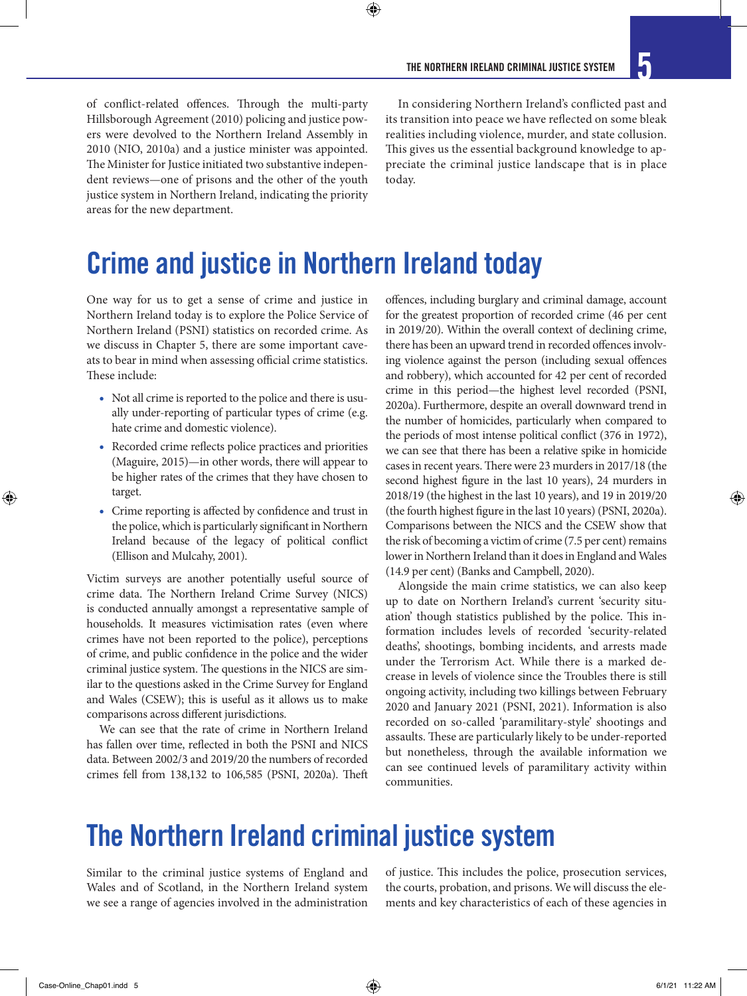of conflict-related offences. Through the multi-party Hillsborough Agreement (2010) policing and justice powers were devolved to the Northern Ireland Assembly in 2010 (NIO, 2010a) and a justice minister was appointed. The Minister for Justice initiated two substantive independent reviews—one of prisons and the other of the youth justice system in Northern Ireland, indicating the priority areas for the new department.

In considering Northern Ireland's conflicted past and its transition into peace we have reflected on some bleak realities including violence, murder, and state collusion. This gives us the essential background knowledge to appreciate the criminal justice landscape that is in place today.

## Crime and justice in Northern Ireland today

 $\bm{\Theta}$ 

One way for us to get a sense of crime and justice in Northern Ireland today is to explore the Police Service of Northern Ireland (PSNI) statistics on recorded crime. As we discuss in Chapter 5, there are some important caveats to bear in mind when assessing official crime statistics. These include:

- Not all crime is reported to the police and there is usually under-reporting of particular types of crime (e.g. hate crime and domestic violence).
- Recorded crime reflects police practices and priorities (Maguire, 2015)—in other words, there will appear to be higher rates of the crimes that they have chosen to target.
- Crime reporting is affected by confidence and trust in the police, which is particularly significant in Northern Ireland because of the legacy of political conflict (Ellison and Mulcahy, 2001).

Victim surveys are another potentially useful source of crime data. The Northern Ireland Crime Survey (NICS) is conducted annually amongst a representative sample of households. It measures victimisation rates (even where crimes have not been reported to the police), perceptions of crime, and public confidence in the police and the wider criminal justice system. The questions in the NICS are similar to the questions asked in the Crime Survey for England and Wales (CSEW); this is useful as it allows us to make comparisons across different jurisdictions.

We can see that the rate of crime in Northern Ireland has fallen over time, reflected in both the PSNI and NICS data. Between 2002/3 and 2019/20 the numbers of recorded crimes fell from 138,132 to 106,585 (PSNI, 2020a). Theft

offences, including burglary and criminal damage, account for the greatest proportion of recorded crime (46 per cent in 2019/20). Within the overall context of declining crime, there has been an upward trend in recorded offences involving violence against the person (including sexual offences and robbery), which accounted for 42 per cent of recorded crime in this period—the highest level recorded (PSNI, 2020a). Furthermore, despite an overall downward trend in the number of homicides, particularly when compared to the periods of most intense political conflict (376 in 1972), we can see that there has been a relative spike in homicide cases in recent years. There were 23 murders in 2017/18 (the second highest figure in the last 10 years), 24 murders in 2018/19 (the highest in the last 10 years), and 19 in 2019/20 (the fourth highest figure in the last 10 years) (PSNI, 2020a). Comparisons between the NICS and the CSEW show that the risk of becoming a victim of crime (7.5 per cent) remains lower in Northern Ireland than it does in England and Wales (14.9 per cent) (Banks and Campbell, 2020).

Alongside the main crime statistics, we can also keep up to date on Northern Ireland's current 'security situation' though statistics published by the police. This information includes levels of recorded 'security-related deaths', shootings, bombing incidents, and arrests made under the Terrorism Act. While there is a marked decrease in levels of violence since the Troubles there is still ongoing activity, including two killings between February 2020 and January 2021 (PSNI, 2021). Information is also recorded on so-called 'paramilitary-style' shootings and assaults. These are particularly likely to be under-reported but nonetheless, through the available information we can see continued levels of paramilitary activity within communities.

## The Northern Ireland criminal justice system

Similar to the criminal justice systems of England and Wales and of Scotland, in the Northern Ireland system we see a range of agencies involved in the administration of justice. This includes the police, prosecution services, the courts, probation, and prisons. We will discuss the elements and key characteristics of each of these agencies in

 $\bigoplus$ 

↔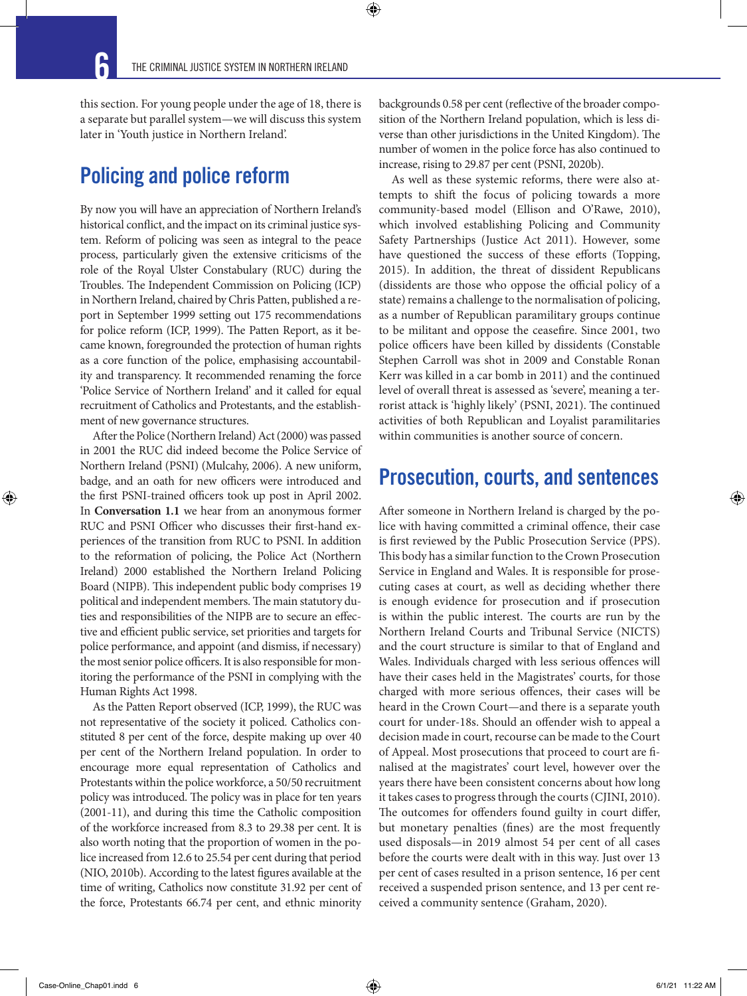this section. For young people under the age of 18, there is a separate but parallel system—we will discuss this system later in 'Youth justice in Northern Ireland'.

## Policing and police reform

By now you will have an appreciation of Northern Ireland's historical conflict, and the impact on its criminal justice system. Reform of policing was seen as integral to the peace process, particularly given the extensive criticisms of the role of the Royal Ulster Constabulary (RUC) during the Troubles. The Independent Commission on Policing (ICP) in Northern Ireland, chaired by Chris Patten, published a report in September 1999 setting out 175 recommendations for police reform (ICP, 1999). The Patten Report, as it became known, foregrounded the protection of human rights as a core function of the police, emphasising accountability and transparency. It recommended renaming the force 'Police Service of Northern Ireland' and it called for equal recruitment of Catholics and Protestants, and the establishment of new governance structures.

After the Police (Northern Ireland) Act (2000) was passed in 2001 the RUC did indeed become the Police Service of Northern Ireland (PSNI) (Mulcahy, 2006). A new uniform, badge, and an oath for new officers were introduced and the first PSNI-trained officers took up post in April 2002. In **Conversation 1.1** we hear from an anonymous former RUC and PSNI Officer who discusses their first-hand experiences of the transition from RUC to PSNI. In addition to the reformation of policing, the Police Act (Northern Ireland) 2000 established the Northern Ireland Policing Board (NIPB). This independent public body comprises 19 political and independent members. The main statutory duties and responsibilities of the NIPB are to secure an effective and efficient public service, set priorities and targets for police performance, and appoint (and dismiss, if necessary) the most senior police officers. It is also responsible for monitoring the performance of the PSNI in complying with the Human Rights Act 1998.

As the Patten Report observed (ICP, 1999), the RUC was not representative of the society it policed. Catholics constituted 8 per cent of the force, despite making up over 40 per cent of the Northern Ireland population. In order to encourage more equal representation of Catholics and Protestants within the police workforce, a 50/50 recruitment policy was introduced. The policy was in place for ten years (2001-11), and during this time the Catholic composition of the workforce increased from 8.3 to 29.38 per cent. It is also worth noting that the proportion of women in the police increased from 12.6 to 25.54 per cent during that period (NIO, 2010b). According to the latest figures available at the time of writing, Catholics now constitute 31.92 per cent of the force, Protestants 66.74 per cent, and ethnic minority

backgrounds 0.58 per cent (reflective of the broader composition of the Northern Ireland population, which is less diverse than other jurisdictions in the United Kingdom). The number of women in the police force has also continued to increase, rising to 29.87 per cent (PSNI, 2020b).

As well as these systemic reforms, there were also attempts to shift the focus of policing towards a more community-based model (Ellison and O'Rawe, 2010), which involved establishing Policing and Community Safety Partnerships (Justice Act 2011). However, some have questioned the success of these efforts (Topping, 2015). In addition, the threat of dissident Republicans (dissidents are those who oppose the official policy of a state) remains a challenge to the normalisation of policing, as a number of Republican paramilitary groups continue to be militant and oppose the ceasefire. Since 2001, two police officers have been killed by dissidents (Constable Stephen Carroll was shot in 2009 and Constable Ronan Kerr was killed in a car bomb in 2011) and the continued level of overall threat is assessed as 'severe', meaning a terrorist attack is 'highly likely' (PSNI, 2021). The continued activities of both Republican and Loyalist paramilitaries within communities is another source of concern.

### Prosecution, courts, and sentences

After someone in Northern Ireland is charged by the police with having committed a criminal offence, their case is first reviewed by the Public Prosecution Service (PPS). This body has a similar function to the Crown Prosecution Service in England and Wales. It is responsible for prosecuting cases at court, as well as deciding whether there is enough evidence for prosecution and if prosecution is within the public interest. The courts are run by the Northern Ireland Courts and Tribunal Service (NICTS) and the court structure is similar to that of England and Wales. Individuals charged with less serious offences will have their cases held in the Magistrates' courts, for those charged with more serious offences, their cases will be heard in the Crown Court—and there is a separate youth court for under-18s. Should an offender wish to appeal a decision made in court, recourse can be made to the Court of Appeal. Most prosecutions that proceed to court are finalised at the magistrates' court level, however over the years there have been consistent concerns about how long it takes cases to progress through the courts (CJINI, 2010). The outcomes for offenders found guilty in court differ, but monetary penalties (fines) are the most frequently used disposals—in 2019 almost 54 per cent of all cases before the courts were dealt with in this way. Just over 13 per cent of cases resulted in a prison sentence, 16 per cent received a suspended prison sentence, and 13 per cent received a community sentence (Graham, 2020).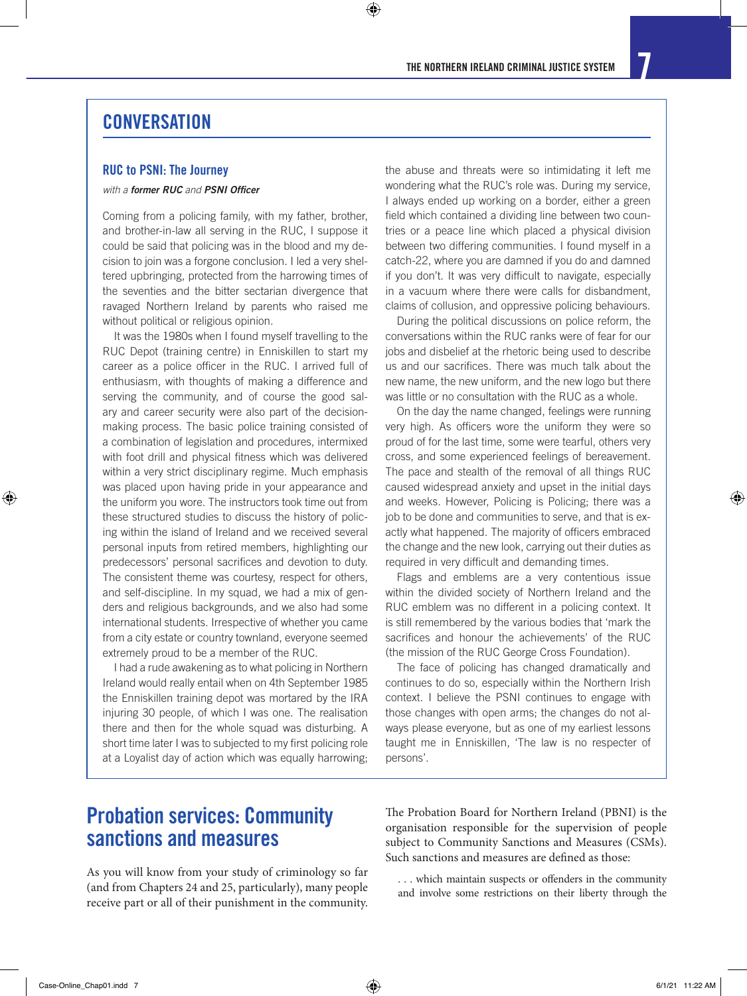⊕

#### **CONVERSATION**

#### RUC to PSNI: The Journey

#### *with a former RUC and PSNI Officer*

Coming from a policing family, with my father, brother, and brother-in-law all serving in the RUC, I suppose it could be said that policing was in the blood and my decision to join was a forgone conclusion. I led a very sheltered upbringing, protected from the harrowing times of the seventies and the bitter sectarian divergence that ravaged Northern Ireland by parents who raised me without political or religious opinion.

It was the 1980s when I found myself travelling to the RUC Depot (training centre) in Enniskillen to start my career as a police officer in the RUC. I arrived full of enthusiasm, with thoughts of making a difference and serving the community, and of course the good salary and career security were also part of the decisionmaking process. The basic police training consisted of a combination of legislation and procedures, intermixed with foot drill and physical fitness which was delivered within a very strict disciplinary regime. Much emphasis was placed upon having pride in your appearance and the uniform you wore. The instructors took time out from these structured studies to discuss the history of policing within the island of Ireland and we received several personal inputs from retired members, highlighting our predecessors' personal sacrifices and devotion to duty. The consistent theme was courtesy, respect for others, and self-discipline. In my squad, we had a mix of genders and religious backgrounds, and we also had some international students. Irrespective of whether you came from a city estate or country townland, everyone seemed extremely proud to be a member of the RUC.

I had a rude awakening as to what policing in Northern Ireland would really entail when on 4th September 1985 the Enniskillen training depot was mortared by the IRA injuring 30 people, of which I was one. The realisation there and then for the whole squad was disturbing. A short time later I was to subjected to my first policing role at a Loyalist day of action which was equally harrowing;

the abuse and threats were so intimidating it left me wondering what the RUC's role was. During my service, I always ended up working on a border, either a green field which contained a dividing line between two countries or a peace line which placed a physical division between two differing communities. I found myself in a catch-22, where you are damned if you do and damned if you don't. It was very difficult to navigate, especially in a vacuum where there were calls for disbandment, claims of collusion, and oppressive policing behaviours.

During the political discussions on police reform, the conversations within the RUC ranks were of fear for our jobs and disbelief at the rhetoric being used to describe us and our sacrifices. There was much talk about the new name, the new uniform, and the new logo but there was little or no consultation with the RUC as a whole.

On the day the name changed, feelings were running very high. As officers wore the uniform they were so proud of for the last time, some were tearful, others very cross, and some experienced feelings of bereavement. The pace and stealth of the removal of all things RUC caused widespread anxiety and upset in the initial days and weeks. However, Policing is Policing; there was a job to be done and communities to serve, and that is exactly what happened. The majority of officers embraced the change and the new look, carrying out their duties as required in very difficult and demanding times.

Flags and emblems are a very contentious issue within the divided society of Northern Ireland and the RUC emblem was no different in a policing context. It is still remembered by the various bodies that 'mark the sacrifices and honour the achievements' of the RUC (the mission of the RUC George Cross Foundation).

The face of policing has changed dramatically and continues to do so, especially within the Northern Irish context. I believe the PSNI continues to engage with those changes with open arms; the changes do not always please everyone, but as one of my earliest lessons taught me in Enniskillen, 'The law is no respecter of persons'.

## Probation services: Community sanctions and measures

As you will know from your study of criminology so far (and from Chapters 24 and 25, particularly), many people receive part or all of their punishment in the community.

The Probation Board for Northern Ireland (PBNI) is the organisation responsible for the supervision of people subject to Community Sanctions and Measures (CSMs). Such sanctions and measures are defined as those:

. . . which maintain suspects or offenders in the community and involve some restrictions on their liberty through the

⊕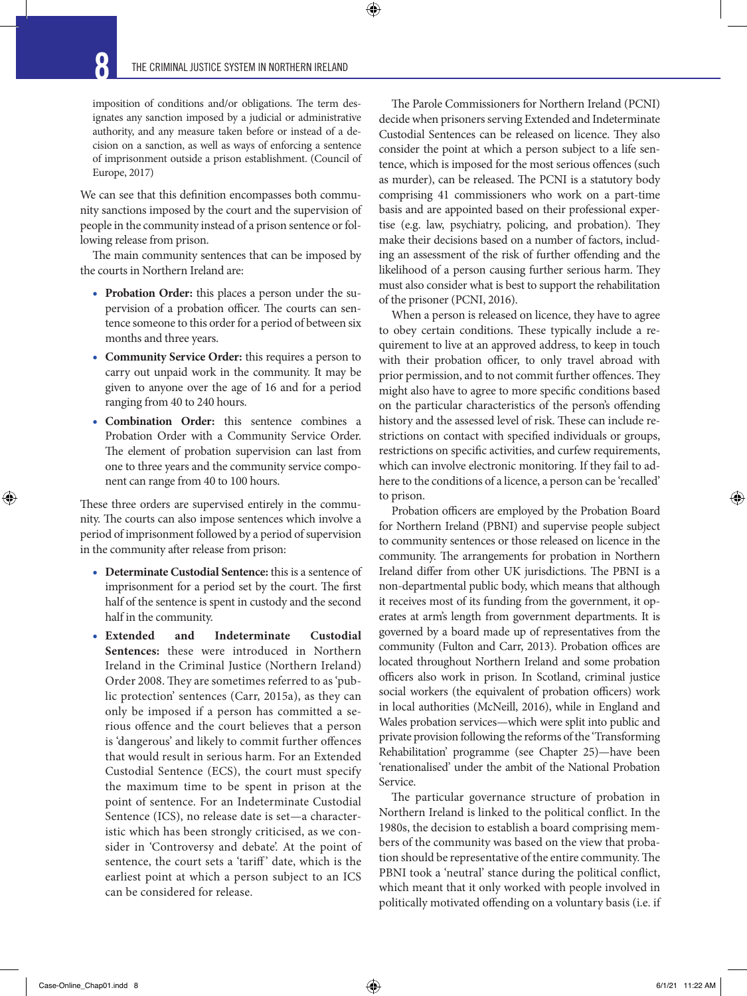$\bigcirc$ 

imposition of conditions and/or obligations. The term designates any sanction imposed by a judicial or administrative authority, and any measure taken before or instead of a decision on a sanction, as well as ways of enforcing a sentence of imprisonment outside a prison establishment. (Council of Europe, 2017)

We can see that this definition encompasses both community sanctions imposed by the court and the supervision of people in the community instead of a prison sentence or following release from prison.

The main community sentences that can be imposed by the courts in Northern Ireland are:

- **Probation Order:** this places a person under the supervision of a probation officer. The courts can sentence someone to this order for a period of between six months and three years.
- **Community Service Order:** this requires a person to carry out unpaid work in the community. It may be given to anyone over the age of 16 and for a period ranging from 40 to 240 hours.
- **Combination Order:** this sentence combines a Probation Order with a Community Service Order. The element of probation supervision can last from one to three years and the community service component can range from 40 to 100 hours.

These three orders are supervised entirely in the community. The courts can also impose sentences which involve a period of imprisonment followed by a period of supervision in the community after release from prison:

- **Determinate Custodial Sentence:** this is a sentence of imprisonment for a period set by the court. The first half of the sentence is spent in custody and the second half in the community.
- **Extended and Indeterminate Custodial Sentences:** these were introduced in Northern Ireland in the Criminal Justice (Northern Ireland) Order 2008. They are sometimes referred to as 'public protection' sentences (Carr, 2015a), as they can only be imposed if a person has committed a serious offence and the court believes that a person is 'dangerous' and likely to commit further offences that would result in serious harm. For an Extended Custodial Sentence (ECS), the court must specify the maximum time to be spent in prison at the point of sentence. For an Indeterminate Custodial Sentence (ICS), no release date is set—a characteristic which has been strongly criticised, as we consider in 'Controversy and debate'. At the point of sentence, the court sets a 'tariff' date, which is the earliest point at which a person subject to an ICS can be considered for release.

The Parole Commissioners for Northern Ireland (PCNI) decide when prisoners serving Extended and Indeterminate Custodial Sentences can be released on licence. They also consider the point at which a person subject to a life sentence, which is imposed for the most serious offences (such as murder), can be released. The PCNI is a statutory body comprising 41 commissioners who work on a part-time basis and are appointed based on their professional expertise (e.g. law, psychiatry, policing, and probation). They make their decisions based on a number of factors, including an assessment of the risk of further offending and the likelihood of a person causing further serious harm. They must also consider what is best to support the rehabilitation of the prisoner (PCNI, 2016).

When a person is released on licence, they have to agree to obey certain conditions. These typically include a requirement to live at an approved address, to keep in touch with their probation officer, to only travel abroad with prior permission, and to not commit further offences. They might also have to agree to more specific conditions based on the particular characteristics of the person's offending history and the assessed level of risk. These can include restrictions on contact with specified individuals or groups, restrictions on specific activities, and curfew requirements, which can involve electronic monitoring. If they fail to adhere to the conditions of a licence, a person can be 'recalled' to prison.

Probation officers are employed by the Probation Board for Northern Ireland (PBNI) and supervise people subject to community sentences or those released on licence in the community. The arrangements for probation in Northern Ireland differ from other UK jurisdictions. The PBNI is a non-departmental public body, which means that although it receives most of its funding from the government, it operates at arm's length from government departments. It is governed by a board made up of representatives from the community (Fulton and Carr, 2013). Probation offices are located throughout Northern Ireland and some probation officers also work in prison. In Scotland, criminal justice social workers (the equivalent of probation officers) work in local authorities (McNeill, 2016), while in England and Wales probation services—which were split into public and private provision following the reforms of the 'Transforming Rehabilitation' programme (see Chapter 25)—have been 'renationalised' under the ambit of the National Probation Service.

The particular governance structure of probation in Northern Ireland is linked to the political conflict. In the 1980s, the decision to establish a board comprising members of the community was based on the view that probation should be representative of the entire community. The PBNI took a 'neutral' stance during the political conflict, which meant that it only worked with people involved in politically motivated offending on a voluntary basis (i.e. if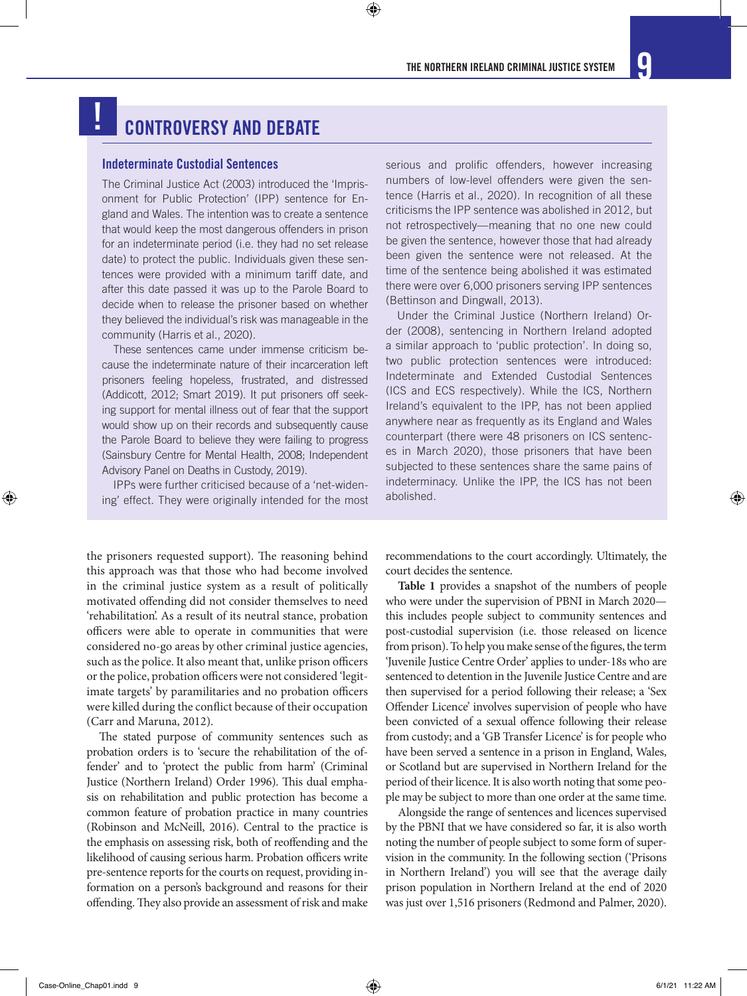### CONTROVERSY AND DEBATE !

#### Indeterminate Custodial Sentences

The Criminal Justice Act (2003) introduced the 'Imprisonment for Public Protection' (IPP) sentence for England and Wales. The intention was to create a sentence that would keep the most dangerous offenders in prison for an indeterminate period (i.e. they had no set release date) to protect the public. Individuals given these sentences were provided with a minimum tariff date, and after this date passed it was up to the Parole Board to decide when to release the prisoner based on whether they believed the individual's risk was manageable in the community (Harris et al., 2020).

These sentences came under immense criticism because the indeterminate nature of their incarceration left prisoners feeling hopeless, frustrated, and distressed (Addicott, 2012; Smart 2019). It put prisoners off seeking support for mental illness out of fear that the support would show up on their records and subsequently cause the Parole Board to believe they were failing to progress (Sainsbury Centre for Mental Health, 2008; Independent Advisory Panel on Deaths in Custody, 2019).

IPPs were further criticised because of a 'net-widening' effect. They were originally intended for the most

the prisoners requested support). The reasoning behind this approach was that those who had become involved in the criminal justice system as a result of politically motivated offending did not consider themselves to need 'rehabilitation'. As a result of its neutral stance, probation officers were able to operate in communities that were considered no-go areas by other criminal justice agencies, such as the police. It also meant that, unlike prison officers or the police, probation officers were not considered 'legitimate targets' by paramilitaries and no probation officers were killed during the conflict because of their occupation (Carr and Maruna, 2012).

The stated purpose of community sentences such as probation orders is to 'secure the rehabilitation of the offender' and to 'protect the public from harm' (Criminal Justice (Northern Ireland) Order 1996). This dual emphasis on rehabilitation and public protection has become a common feature of probation practice in many countries (Robinson and McNeill, 2016). Central to the practice is the emphasis on assessing risk, both of reoffending and the likelihood of causing serious harm. Probation officers write pre-sentence reports for the courts on request, providing information on a person's background and reasons for their offending. They also provide an assessment of risk and make serious and prolific offenders, however increasing numbers of low-level offenders were given the sentence (Harris et al., 2020). In recognition of all these criticisms the IPP sentence was abolished in 2012, but not retrospectively—meaning that no one new could be given the sentence, however those that had already been given the sentence were not released. At the time of the sentence being abolished it was estimated there were over 6,000 prisoners serving IPP sentences (Bettinson and Dingwall, 2013).

Under the Criminal Justice (Northern Ireland) Order (2008), sentencing in Northern Ireland adopted a similar approach to 'public protection'. In doing so, two public protection sentences were introduced: Indeterminate and Extended Custodial Sentences (ICS and ECS respectively). While the ICS, Northern Ireland's equivalent to the IPP, has not been applied anywhere near as frequently as its England and Wales counterpart (there were 48 prisoners on ICS sentences in March 2020), those prisoners that have been subjected to these sentences share the same pains of indeterminacy. Unlike the IPP, the ICS has not been abolished.

recommendations to the court accordingly. Ultimately, the court decides the sentence.

**Table 1** provides a snapshot of the numbers of people who were under the supervision of PBNI in March 2020 this includes people subject to community sentences and post-custodial supervision (i.e. those released on licence from prison). To help you make sense of the figures, the term 'Juvenile Justice Centre Order' applies to under-18s who are sentenced to detention in the Juvenile Justice Centre and are then supervised for a period following their release; a 'Sex Offender Licence' involves supervision of people who have been convicted of a sexual offence following their release from custody; and a 'GB Transfer Licence' is for people who have been served a sentence in a prison in England, Wales, or Scotland but are supervised in Northern Ireland for the period of their licence. It is also worth noting that some people may be subject to more than one order at the same time.

Alongside the range of sentences and licences supervised by the PBNI that we have considered so far, it is also worth noting the number of people subject to some form of supervision in the community. In the following section ('Prisons in Northern Ireland') you will see that the average daily prison population in Northern Ireland at the end of 2020 was just over 1,516 prisoners (Redmond and Palmer, 2020).

⊕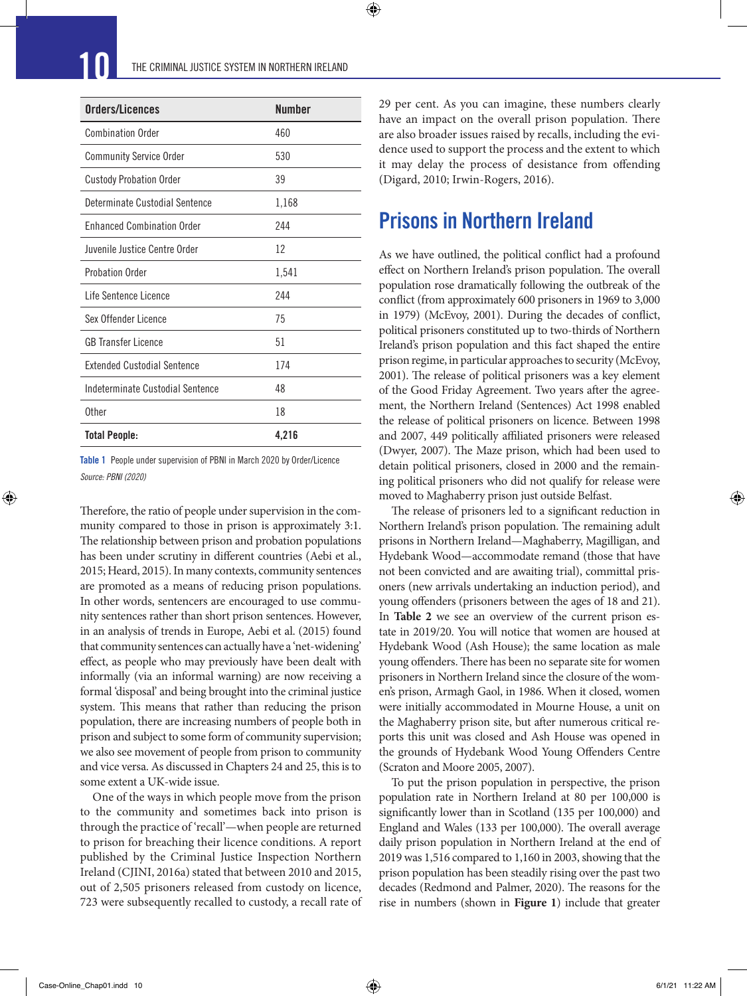| Orders/Licences                    | <b>Number</b> |
|------------------------------------|---------------|
| <b>Combination Order</b>           | 460           |
| <b>Community Service Order</b>     | 530           |
| <b>Custody Probation Order</b>     | 39            |
| Determinate Custodial Sentence     | 1,168         |
| <b>Enhanced Combination Order</b>  | 244           |
| Juvenile Justice Centre Order      | 12            |
| <b>Probation Order</b>             | 1,541         |
| Life Sentence Licence              | 244           |
| Sex Offender Licence               | 75            |
| GB Transfer Licence                | 51            |
| <b>Extended Custodial Sentence</b> | 174           |
| Indeterminate Custodial Sentence   | 48            |
| Other                              | 18            |
| <b>Total People:</b>               | 4,216         |

Table 1 People under supervision of PBNI in March 2020 by Order/Licence *Source: PBNI (2020)*

Therefore, the ratio of people under supervision in the community compared to those in prison is approximately 3:1. The relationship between prison and probation populations has been under scrutiny in different countries (Aebi et al., 2015; Heard, 2015). In many contexts, community sentences are promoted as a means of reducing prison populations. In other words, sentencers are encouraged to use community sentences rather than short prison sentences. However, in an analysis of trends in Europe, Aebi et al. (2015) found that community sentences can actually have a 'net-widening' effect, as people who may previously have been dealt with informally (via an informal warning) are now receiving a formal 'disposal' and being brought into the criminal justice system. This means that rather than reducing the prison population, there are increasing numbers of people both in prison and subject to some form of community supervision; we also see movement of people from prison to community and vice versa. As discussed in Chapters 24 and 25, this is to some extent a UK-wide issue.

One of the ways in which people move from the prison to the community and sometimes back into prison is through the practice of 'recall'—when people are returned to prison for breaching their licence conditions. A report published by the Criminal Justice Inspection Northern Ireland (CJINI, 2016a) stated that between 2010 and 2015, out of 2,505 prisoners released from custody on licence, 723 were subsequently recalled to custody, a recall rate of 29 per cent. As you can imagine, these numbers clearly have an impact on the overall prison population. There are also broader issues raised by recalls, including the evidence used to support the process and the extent to which it may delay the process of desistance from offending (Digard, 2010; Irwin-Rogers, 2016).

### Prisons in Northern Ireland

As we have outlined, the political conflict had a profound effect on Northern Ireland's prison population. The overall population rose dramatically following the outbreak of the conflict (from approximately 600 prisoners in 1969 to 3,000 in 1979) (McEvoy, 2001). During the decades of conflict, political prisoners constituted up to two-thirds of Northern Ireland's prison population and this fact shaped the entire prison regime, in particular approaches to security (McEvoy, 2001). The release of political prisoners was a key element of the Good Friday Agreement. Two years after the agreement, the Northern Ireland (Sentences) Act 1998 enabled the release of political prisoners on licence. Between 1998 and 2007, 449 politically affiliated prisoners were released (Dwyer, 2007). The Maze prison, which had been used to detain political prisoners, closed in 2000 and the remaining political prisoners who did not qualify for release were moved to Maghaberry prison just outside Belfast.

The release of prisoners led to a significant reduction in Northern Ireland's prison population. The remaining adult prisons in Northern Ireland—Maghaberry, Magilligan, and Hydebank Wood—accommodate remand (those that have not been convicted and are awaiting trial), committal prisoners (new arrivals undertaking an induction period), and young offenders (prisoners between the ages of 18 and 21). In **Table 2** we see an overview of the current prison estate in 2019/20. You will notice that women are housed at Hydebank Wood (Ash House); the same location as male young offenders. There has been no separate site for women prisoners in Northern Ireland since the closure of the women's prison, Armagh Gaol, in 1986. When it closed, women were initially accommodated in Mourne House, a unit on the Maghaberry prison site, but after numerous critical reports this unit was closed and Ash House was opened in the grounds of Hydebank Wood Young Offenders Centre (Scraton and Moore 2005, 2007).

To put the prison population in perspective, the prison population rate in Northern Ireland at 80 per 100,000 is significantly lower than in Scotland (135 per 100,000) and England and Wales (133 per 100,000). The overall average daily prison population in Northern Ireland at the end of 2019 was 1,516 compared to 1,160 in 2003, showing that the prison population has been steadily rising over the past two decades (Redmond and Palmer, 2020). The reasons for the rise in numbers (shown in **Figure 1**) include that greater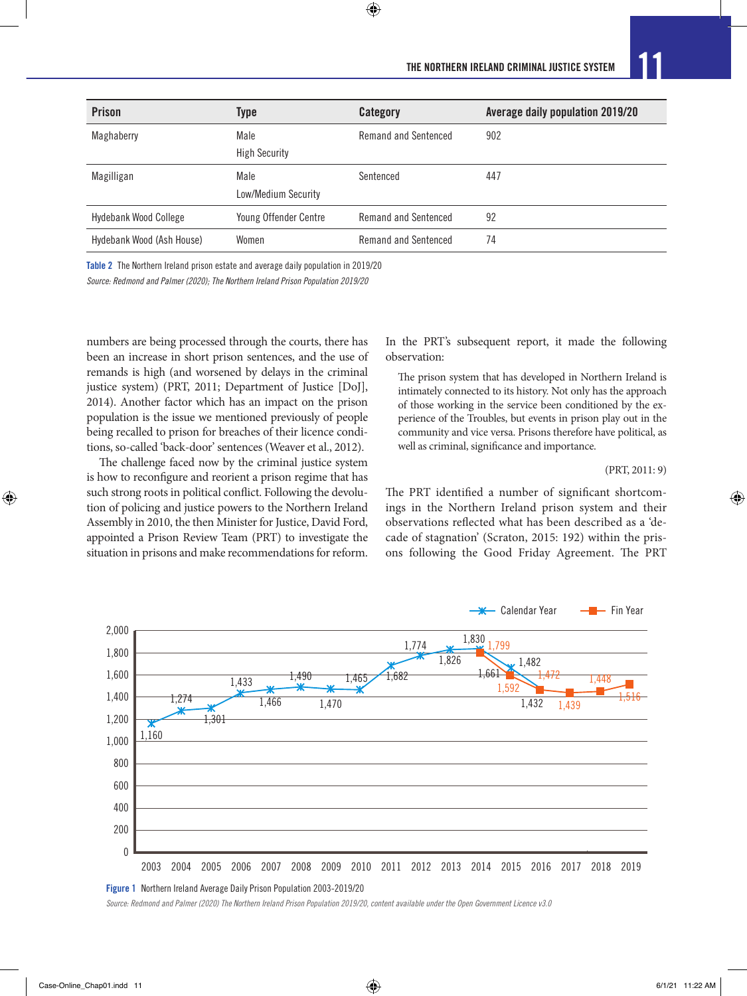| <b>Prison</b>                | <b>Type</b>                  | Category             | Average daily population 2019/20 |
|------------------------------|------------------------------|----------------------|----------------------------------|
| Maghaberry                   | Male                         | Remand and Sentenced | 902                              |
|                              | <b>High Security</b>         |                      |                                  |
| Magilligan                   | Male                         | Sentenced            | 447                              |
|                              | Low/Medium Security          |                      |                                  |
| <b>Hydebank Wood College</b> | <b>Young Offender Centre</b> | Remand and Sentenced | 92                               |
| Hydebank Wood (Ash House)    | Women                        | Remand and Sentenced | 74                               |
|                              |                              |                      |                                  |

Table 2 The Northern Ireland prison estate and average daily population in 2019/20

*Source: Redmond and Palmer (2020); The Northern Ireland Prison Population 2019/20*

numbers are being processed through the courts, there has been an increase in short prison sentences, and the use of remands is high (and worsened by delays in the criminal justice system) (PRT, 2011; Department of Justice [DoJ], 2014). Another factor which has an impact on the prison population is the issue we mentioned previously of people being recalled to prison for breaches of their licence conditions, so-called 'back-door' sentences (Weaver et al., 2012).

The challenge faced now by the criminal justice system is how to reconfigure and reorient a prison regime that has such strong roots in political conflict. Following the devolution of policing and justice powers to the Northern Ireland Assembly in 2010, the then Minister for Justice, David Ford, appointed a Prison Review Team (PRT) to investigate the situation in prisons and make recommendations for reform.

In the PRT's subsequent report, it made the following observation:

The prison system that has developed in Northern Ireland is intimately connected to its history. Not only has the approach of those working in the service been conditioned by the experience of the Troubles, but events in prison play out in the community and vice versa. Prisons therefore have political, as well as criminal, significance and importance.

#### (PRT, 2011: 9)

♠

The PRT identified a number of significant shortcomings in the Northern Ireland prison system and their observations reflected what has been described as a 'decade of stagnation' (Scraton, 2015: 192) within the prisons following the Good Friday Agreement. The PRT



*Source: Redmond and Palmer (2020) The Northern Ireland Prison Population 2019/20, content available under the Open Government Licence v3.0*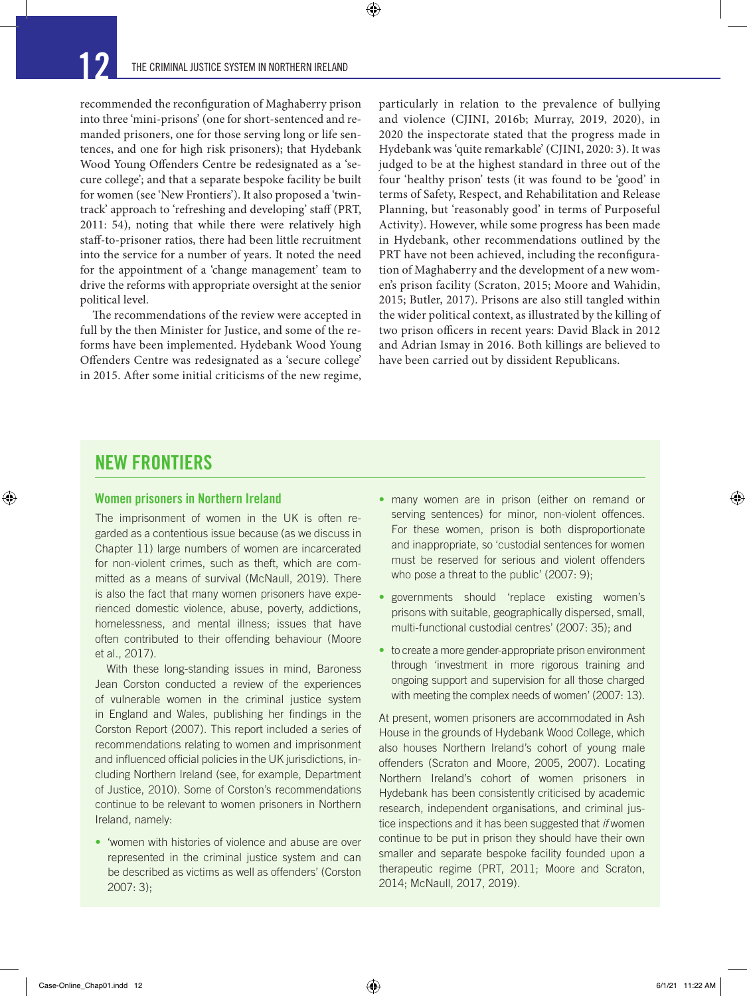recommended the reconfiguration of Maghaberry prison into three 'mini-prisons' (one for short-sentenced and remanded prisoners, one for those serving long or life sentences, and one for high risk prisoners); that Hydebank Wood Young Offenders Centre be redesignated as a 'secure college'; and that a separate bespoke facility be built for women (see 'New Frontiers'). It also proposed a 'twintrack' approach to 'refreshing and developing' staff (PRT, 2011: 54), noting that while there were relatively high staff-to-prisoner ratios, there had been little recruitment into the service for a number of years. It noted the need for the appointment of a 'change management' team to drive the reforms with appropriate oversight at the senior political level.

The recommendations of the review were accepted in full by the then Minister for Justice, and some of the reforms have been implemented. Hydebank Wood Young Offenders Centre was redesignated as a 'secure college' in 2015. After some initial criticisms of the new regime,

particularly in relation to the prevalence of bullying and violence (CJINI, 2016b; Murray, 2019, 2020), in 2020 the inspectorate stated that the progress made in Hydebank was 'quite remarkable' (CJINI, 2020: 3). It was judged to be at the highest standard in three out of the four 'healthy prison' tests (it was found to be 'good' in terms of Safety, Respect, and Rehabilitation and Release Planning, but 'reasonably good' in terms of Purposeful Activity). However, while some progress has been made in Hydebank, other recommendations outlined by the PRT have not been achieved, including the reconfiguration of Maghaberry and the development of a new women's prison facility (Scraton, 2015; Moore and Wahidin, 2015; Butler, 2017). Prisons are also still tangled within the wider political context, as illustrated by the killing of two prison officers in recent years: David Black in 2012 and Adrian Ismay in 2016. Both killings are believed to have been carried out by dissident Republicans.

### NEW FRONTIERS

⊕

#### Women prisoners in Northern Ireland

The imprisonment of women in the UK is often regarded as a contentious issue because (as we discuss in Chapter 11) large numbers of women are incarcerated for non-violent crimes, such as theft, which are committed as a means of survival (McNaull, 2019). There is also the fact that many women prisoners have experienced domestic violence, abuse, poverty, addictions, homelessness, and mental illness; issues that have often contributed to their offending behaviour (Moore et al., 2017).

With these long-standing issues in mind, Baroness Jean Corston conducted a review of the experiences of vulnerable women in the criminal justice system in England and Wales, publishing her findings in the Corston Report (2007). This report included a series of recommendations relating to women and imprisonment and influenced official policies in the UK jurisdictions, including Northern Ireland (see, for example, Department of Justice, 2010). Some of Corston's recommendations continue to be relevant to women prisoners in Northern Ireland, namely:

• 'women with histories of violence and abuse are over represented in the criminal justice system and can be described as victims as well as offenders' (Corston 2007: 3);

- many women are in prison (either on remand or serving sentences) for minor, non-violent offences. For these women, prison is both disproportionate and inappropriate, so 'custodial sentences for women must be reserved for serious and violent offenders who pose a threat to the public' (2007: 9);
- governments should 'replace existing women's prisons with suitable, geographically dispersed, small, multi-functional custodial centres' (2007: 35); and
- to create a more gender-appropriate prison environment through 'investment in more rigorous training and ongoing support and supervision for all those charged with meeting the complex needs of women' (2007: 13).

At present, women prisoners are accommodated in Ash House in the grounds of Hydebank Wood College, which also houses Northern Ireland's cohort of young male offenders (Scraton and Moore, 2005, 2007). Locating Northern Ireland's cohort of women prisoners in Hydebank has been consistently criticised by academic research, independent organisations, and criminal justice inspections and it has been suggested that *if* women continue to be put in prison they should have their own smaller and separate bespoke facility founded upon a therapeutic regime (PRT, 2011; Moore and Scraton, 2014; McNaull, 2017, 2019).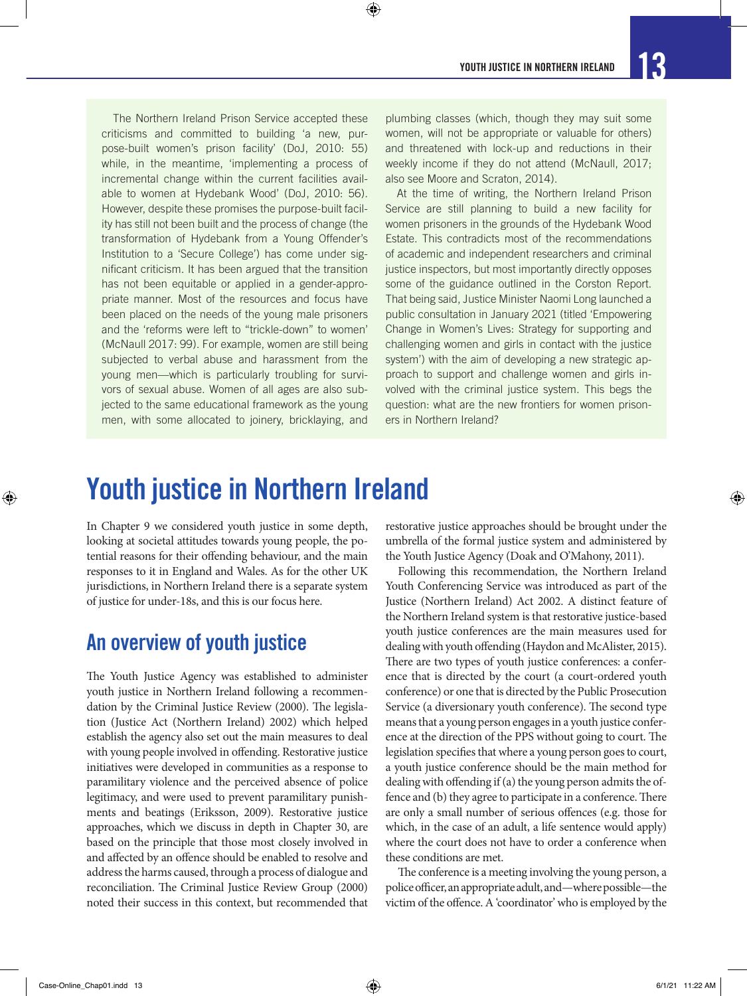The Northern Ireland Prison Service accepted these criticisms and committed to building 'a new, purpose-built women's prison facility' (DoJ, 2010: 55) while, in the meantime, 'implementing a process of incremental change within the current facilities available to women at Hydebank Wood' (DoJ, 2010: 56). However, despite these promises the purpose-built facility has still not been built and the process of change (the transformation of Hydebank from a Young Offender's Institution to a 'Secure College') has come under significant criticism. It has been argued that the transition has not been equitable or applied in a gender-appropriate manner. Most of the resources and focus have been placed on the needs of the young male prisoners and the 'reforms were left to "trickle-down" to women' (McNaull 2017: 99). For example, women are still being subjected to verbal abuse and harassment from the young men—which is particularly troubling for survivors of sexual abuse. Women of all ages are also subjected to the same educational framework as the young men, with some allocated to joinery, bricklaying, and

plumbing classes (which, though they may suit some women, will not be appropriate or valuable for others) and threatened with lock-up and reductions in their weekly income if they do not attend (McNaull, 2017; also see Moore and Scraton, 2014).

 $\bm{\Theta}$ 

At the time of writing, the Northern Ireland Prison Service are still planning to build a new facility for women prisoners in the grounds of the Hydebank Wood Estate. This contradicts most of the recommendations of academic and independent researchers and criminal justice inspectors, but most importantly directly opposes some of the guidance outlined in the Corston Report. That being said, Justice Minister Naomi Long launched a public consultation in January 2021 (titled 'Empowering Change in Women's Lives: Strategy for supporting and challenging women and girls in contact with the justice system') with the aim of developing a new strategic approach to support and challenge women and girls involved with the criminal justice system. This begs the question: what are the new frontiers for women prisoners in Northern Ireland?

## Youth justice in Northern Ireland

In Chapter 9 we considered youth justice in some depth, looking at societal attitudes towards young people, the potential reasons for their offending behaviour, and the main responses to it in England and Wales. As for the other UK jurisdictions, in Northern Ireland there is a separate system of justice for under-18s, and this is our focus here.

### An overview of youth justice

The Youth Justice Agency was established to administer youth justice in Northern Ireland following a recommendation by the Criminal Justice Review (2000). The legislation (Justice Act (Northern Ireland) 2002) which helped establish the agency also set out the main measures to deal with young people involved in offending. Restorative justice initiatives were developed in communities as a response to paramilitary violence and the perceived absence of police legitimacy, and were used to prevent paramilitary punishments and beatings (Eriksson, 2009). Restorative justice approaches, which we discuss in depth in Chapter 30, are based on the principle that those most closely involved in and affected by an offence should be enabled to resolve and address the harms caused, through a process of dialogue and reconciliation. The Criminal Justice Review Group (2000) noted their success in this context, but recommended that

restorative justice approaches should be brought under the umbrella of the formal justice system and administered by the Youth Justice Agency (Doak and O'Mahony, 2011).

Following this recommendation, the Northern Ireland Youth Conferencing Service was introduced as part of the Justice (Northern Ireland) Act 2002. A distinct feature of the Northern Ireland system is that restorative justice-based youth justice conferences are the main measures used for dealing with youth offending (Haydon and McAlister, 2015). There are two types of youth justice conferences: a conference that is directed by the court (a court-ordered youth conference) or one that is directed by the Public Prosecution Service (a diversionary youth conference). The second type means that a young person engages in a youth justice conference at the direction of the PPS without going to court. The legislation specifies that where a young person goes to court, a youth justice conference should be the main method for dealing with offending if (a) the young person admits the offence and (b) they agree to participate in a conference. There are only a small number of serious offences (e.g. those for which, in the case of an adult, a life sentence would apply) where the court does not have to order a conference when these conditions are met.

The conference is a meeting involving the young person, a police officer, an appropriate adult, and—where possible—the victim of the offence. A 'coordinator' who is employed by the

⊕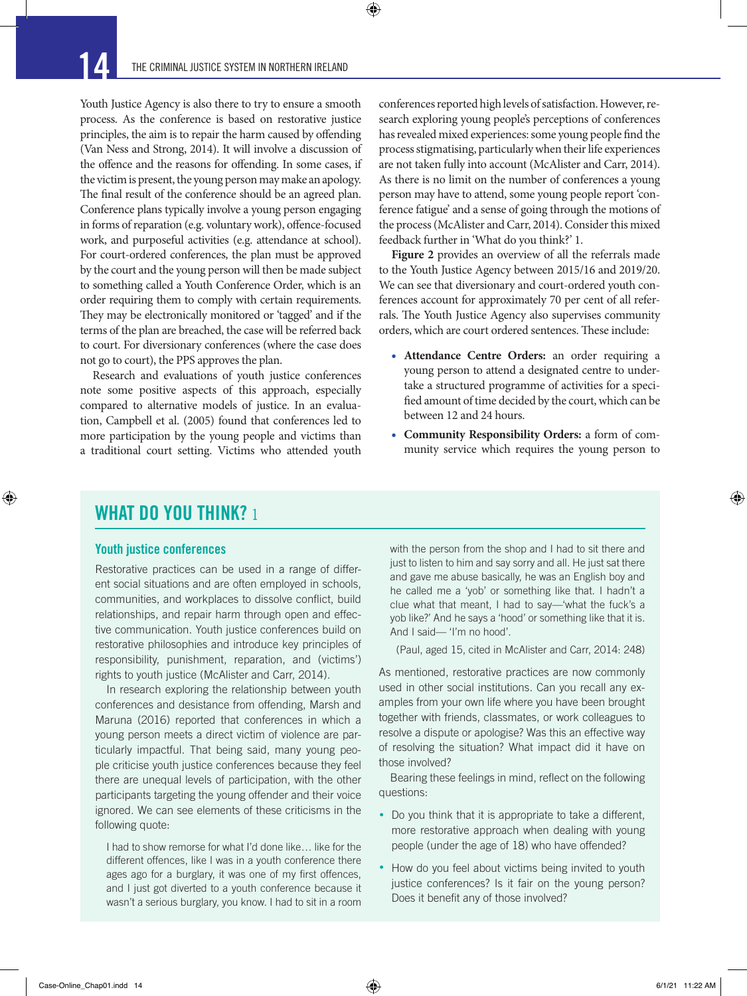Youth Justice Agency is also there to try to ensure a smooth process. As the conference is based on restorative justice principles, the aim is to repair the harm caused by offending (Van Ness and Strong, 2014). It will involve a discussion of the offence and the reasons for offending. In some cases, if the victim is present, the young person may make an apology. The final result of the conference should be an agreed plan. Conference plans typically involve a young person engaging in forms of reparation (e.g. voluntary work), offence-focused work, and purposeful activities (e.g. attendance at school). For court-ordered conferences, the plan must be approved by the court and the young person will then be made subject to something called a Youth Conference Order, which is an order requiring them to comply with certain requirements. They may be electronically monitored or 'tagged' and if the terms of the plan are breached, the case will be referred back to court. For diversionary conferences (where the case does not go to court), the PPS approves the plan.

Research and evaluations of youth justice conferences note some positive aspects of this approach, especially compared to alternative models of justice. In an evaluation, Campbell et al. (2005) found that conferences led to more participation by the young people and victims than a traditional court setting. Victims who attended youth

conferences reported high levels of satisfaction. However, research exploring young people's perceptions of conferences has revealed mixed experiences: some young people find the process stigmatising, particularly when their life experiences are not taken fully into account (McAlister and Carr, 2014). As there is no limit on the number of conferences a young person may have to attend, some young people report 'conference fatigue' and a sense of going through the motions of the process (McAlister and Carr, 2014). Consider this mixed feedback further in 'What do you think?' 1.

**Figure 2** provides an overview of all the referrals made to the Youth Justice Agency between 2015/16 and 2019/20. We can see that diversionary and court-ordered youth conferences account for approximately 70 per cent of all referrals. The Youth Justice Agency also supervises community orders, which are court ordered sentences. These include:

- **Attendance Centre Orders:** an order requiring a young person to attend a designated centre to undertake a structured programme of activities for a specified amount of time decided by the court, which can be between 12 and 24 hours.
- **Community Responsibility Orders:** a form of community service which requires the young person to

#### WHAT DO YOU THINK? 1

#### Youth justice conferences

 $\bigoplus$ 

Restorative practices can be used in a range of different social situations and are often employed in schools, communities, and workplaces to dissolve conflict, build relationships, and repair harm through open and effective communication. Youth justice conferences build on restorative philosophies and introduce key principles of responsibility, punishment, reparation, and (victims') rights to youth justice (McAlister and Carr, 2014).

In research exploring the relationship between youth conferences and desistance from offending, Marsh and Maruna (2016) reported that conferences in which a young person meets a direct victim of violence are particularly impactful. That being said, many young people criticise youth justice conferences because they feel there are unequal levels of participation, with the other participants targeting the young offender and their voice ignored. We can see elements of these criticisms in the following quote:

I had to show remorse for what I'd done like… like for the different offences, like I was in a youth conference there ages ago for a burglary, it was one of my first offences, and I just got diverted to a youth conference because it wasn't a serious burglary, you know. I had to sit in a room

with the person from the shop and I had to sit there and just to listen to him and say sorry and all. He just sat there and gave me abuse basically, he was an English boy and he called me a 'yob' or something like that. I hadn't a clue what that meant, I had to say—'what the fuck's a yob like?' And he says a 'hood' or something like that it is. And I said— 'I'm no hood'.

(Paul, aged 15, cited in McAlister and Carr, 2014: 248)

As mentioned, restorative practices are now commonly used in other social institutions. Can you recall any examples from your own life where you have been brought together with friends, classmates, or work colleagues to resolve a dispute or apologise? Was this an effective way of resolving the situation? What impact did it have on those involved?

Bearing these feelings in mind, reflect on the following questions:

- Do you think that it is appropriate to take a different, more restorative approach when dealing with young people (under the age of 18) who have offended?
- How do you feel about victims being invited to youth justice conferences? Is it fair on the young person? Does it benefit any of those involved?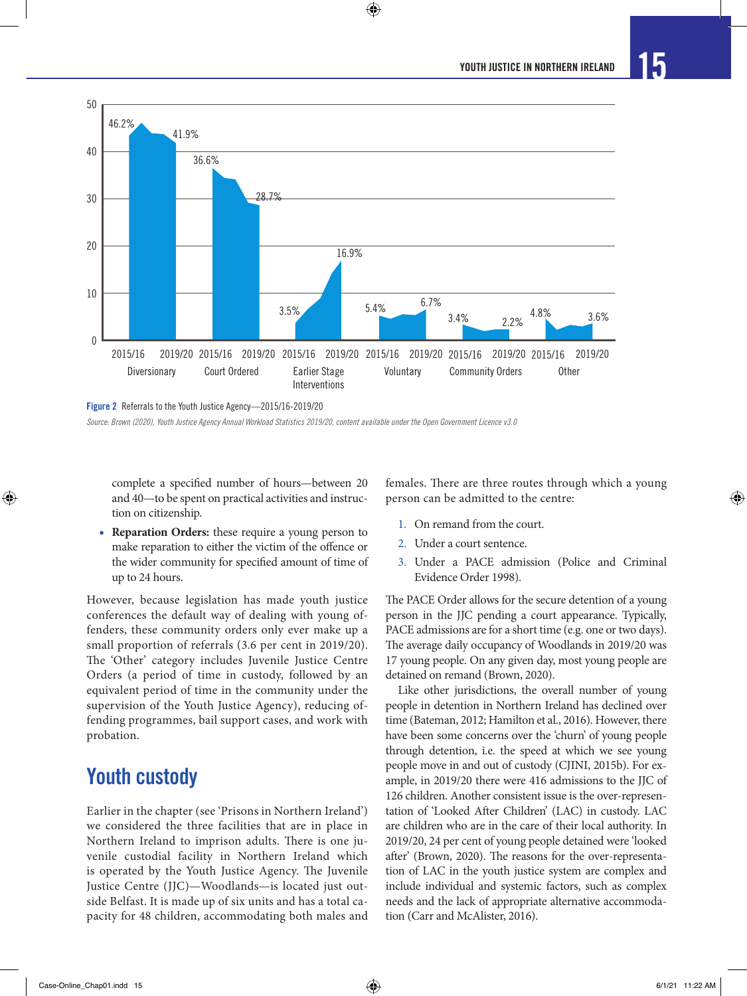

complete a specified number of hours—between 20 and 40—to be spent on practical activities and instruction on citizenship.

• **Reparation Orders:** these require a young person to make reparation to either the victim of the offence or the wider community for specified amount of time of up to 24 hours.

However, because legislation has made youth justice conferences the default way of dealing with young offenders, these community orders only ever make up a small proportion of referrals (3.6 per cent in 2019/20). The 'Other' category includes Juvenile Justice Centre Orders (a period of time in custody, followed by an equivalent period of time in the community under the supervision of the Youth Justice Agency), reducing offending programmes, bail support cases, and work with probation.

### Youth custody

Earlier in the chapter (see 'Prisons in Northern Ireland') we considered the three facilities that are in place in Northern Ireland to imprison adults. There is one juvenile custodial facility in Northern Ireland which is operated by the Youth Justice Agency. The Juvenile Justice Centre (JJC)—Woodlands—is located just outside Belfast. It is made up of six units and has a total capacity for 48 children, accommodating both males and

females. There are three routes through which a young person can be admitted to the centre:

- 1. On remand from the court.
- 2. Under a court sentence.
- 3. Under a PACE admission (Police and Criminal Evidence Order 1998).

The PACE Order allows for the secure detention of a young person in the JJC pending a court appearance. Typically, PACE admissions are for a short time (e.g. one or two days). The average daily occupancy of Woodlands in 2019/20 was 17 young people. On any given day, most young people are detained on remand (Brown, 2020).

Like other jurisdictions, the overall number of young people in detention in Northern Ireland has declined over time (Bateman, 2012; Hamilton et al., 2016). However, there have been some concerns over the 'churn' of young people through detention, i.e. the speed at which we see young people move in and out of custody (CJINI, 2015b). For example, in 2019/20 there were 416 admissions to the JJC of 126 children. Another consistent issue is the over-representation of 'Looked After Children' (LAC) in custody. LAC are children who are in the care of their local authority. In 2019/20, 24 per cent of young people detained were 'looked after' (Brown, 2020). The reasons for the over-representation of LAC in the youth justice system are complex and include individual and systemic factors, such as complex needs and the lack of appropriate alternative accommodation (Carr and McAlister, 2016).

⊕

*Source: Brown (2020), Youth Justice Agency Annual Workload Statistics 2019/20, content available under the Open Government Licence v3.0*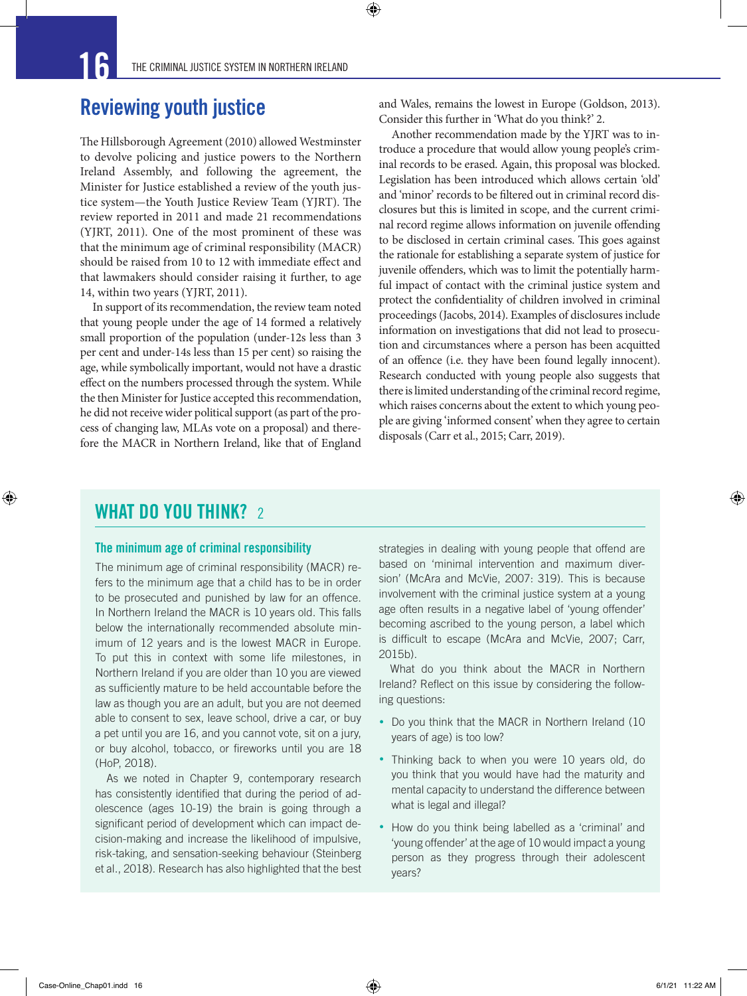### Reviewing youth justice

The Hillsborough Agreement (2010) allowed Westminster to devolve policing and justice powers to the Northern Ireland Assembly, and following the agreement, the Minister for Justice established a review of the youth justice system—the Youth Justice Review Team (YJRT). The review reported in 2011 and made 21 recommendations (YJRT, 2011). One of the most prominent of these was that the minimum age of criminal responsibility (MACR) should be raised from 10 to 12 with immediate effect and that lawmakers should consider raising it further, to age 14, within two years (YJRT, 2011).

In support of its recommendation, the review team noted that young people under the age of 14 formed a relatively small proportion of the population (under-12s less than 3 per cent and under-14s less than 15 per cent) so raising the age, while symbolically important, would not have a drastic effect on the numbers processed through the system. While the then Minister for Justice accepted this recommendation, he did not receive wider political support (as part of the process of changing law, MLAs vote on a proposal) and therefore the MACR in Northern Ireland, like that of England

and Wales, remains the lowest in Europe (Goldson, 2013). Consider this further in 'What do you think?' 2.

Another recommendation made by the YJRT was to introduce a procedure that would allow young people's criminal records to be erased. Again, this proposal was blocked. Legislation has been introduced which allows certain 'old' and 'minor' records to be filtered out in criminal record disclosures but this is limited in scope, and the current criminal record regime allows information on juvenile offending to be disclosed in certain criminal cases. This goes against the rationale for establishing a separate system of justice for juvenile offenders, which was to limit the potentially harmful impact of contact with the criminal justice system and protect the confidentiality of children involved in criminal proceedings (Jacobs, 2014). Examples of disclosures include information on investigations that did not lead to prosecution and circumstances where a person has been acquitted of an offence (i.e. they have been found legally innocent). Research conducted with young people also suggests that there is limited understanding of the criminal record regime, which raises concerns about the extent to which young people are giving 'informed consent' when they agree to certain disposals (Carr et al., 2015; Carr, 2019).

### WHAT DO YOU THINK? 2

⊕

#### The minimum age of criminal responsibility

The minimum age of criminal responsibility (MACR) refers to the minimum age that a child has to be in order to be prosecuted and punished by law for an offence. In Northern Ireland the MACR is 10 years old. This falls below the internationally recommended absolute minimum of 12 years and is the lowest MACR in Europe. To put this in context with some life milestones, in Northern Ireland if you are older than 10 you are viewed as sufficiently mature to be held accountable before the law as though you are an adult, but you are not deemed able to consent to sex, leave school, drive a car, or buy a pet until you are 16, and you cannot vote, sit on a jury, or buy alcohol, tobacco, or fireworks until you are 18 (HoP, 2018).

As we noted in Chapter 9, contemporary research has consistently identified that during the period of adolescence (ages 10-19) the brain is going through a significant period of development which can impact decision-making and increase the likelihood of impulsive, risk-taking, and sensation-seeking behaviour (Steinberg et al., 2018). Research has also highlighted that the best

strategies in dealing with young people that offend are based on 'minimal intervention and maximum diversion' (McAra and McVie, 2007: 319). This is because involvement with the criminal justice system at a young age often results in a negative label of 'young offender' becoming ascribed to the young person, a label which is difficult to escape (McAra and McVie, 2007; Carr, 2015b).

What do you think about the MACR in Northern Ireland? Reflect on this issue by considering the following questions:

- Do you think that the MACR in Northern Ireland (10 years of age) is too low?
- Thinking back to when you were 10 years old, do you think that you would have had the maturity and mental capacity to understand the difference between what is legal and illegal?
- How do you think being labelled as a 'criminal' and 'young offender' at the age of 10 would impact a young person as they progress through their adolescent years?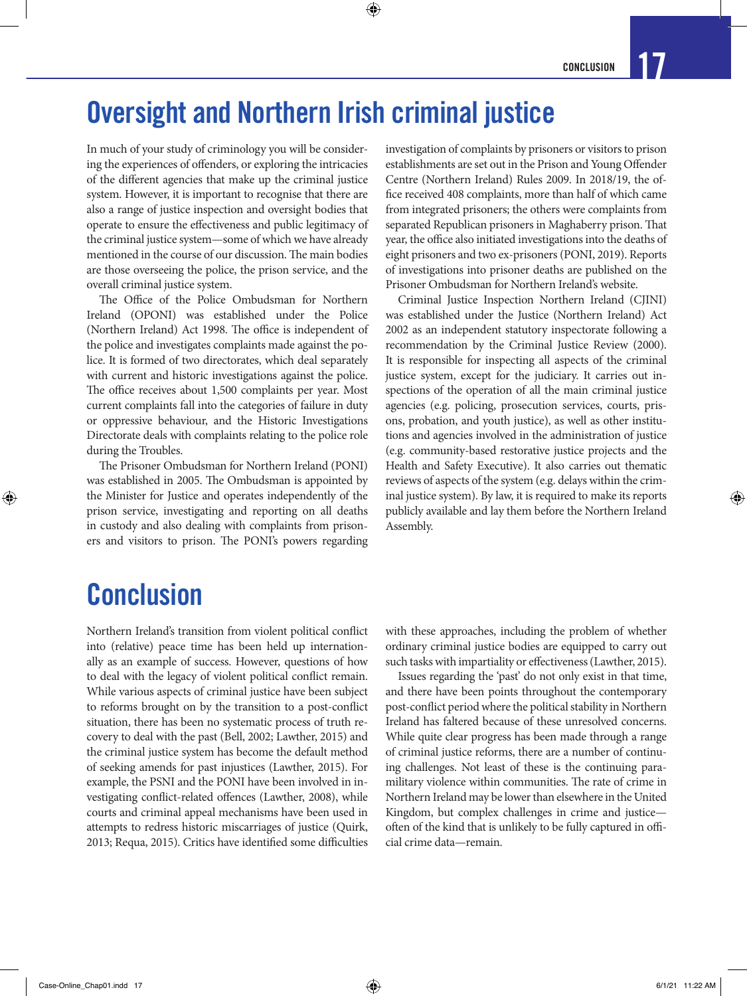## Oversight and Northern Irish criminal justice

 $\bm{\Theta}$ 

In much of your study of criminology you will be considering the experiences of offenders, or exploring the intricacies of the different agencies that make up the criminal justice system. However, it is important to recognise that there are also a range of justice inspection and oversight bodies that operate to ensure the effectiveness and public legitimacy of the criminal justice system—some of which we have already mentioned in the course of our discussion. The main bodies are those overseeing the police, the prison service, and the overall criminal justice system.

The Office of the Police Ombudsman for Northern Ireland (OPONI) was established under the Police (Northern Ireland) Act 1998. The office is independent of the police and investigates complaints made against the police. It is formed of two directorates, which deal separately with current and historic investigations against the police. The office receives about 1,500 complaints per year. Most current complaints fall into the categories of failure in duty or oppressive behaviour, and the Historic Investigations Directorate deals with complaints relating to the police role during the Troubles.

The Prisoner Ombudsman for Northern Ireland (PONI) was established in 2005. The Ombudsman is appointed by the Minister for Justice and operates independently of the prison service, investigating and reporting on all deaths in custody and also dealing with complaints from prisoners and visitors to prison. The PONI's powers regarding

investigation of complaints by prisoners or visitors to prison establishments are set out in the Prison and Young Offender Centre (Northern Ireland) Rules 2009. In 2018/19, the office received 408 complaints, more than half of which came from integrated prisoners; the others were complaints from separated Republican prisoners in Maghaberry prison. That year, the office also initiated investigations into the deaths of eight prisoners and two ex-prisoners (PONI, 2019). Reports of investigations into prisoner deaths are published on the Prisoner Ombudsman for Northern Ireland's website.

Criminal Justice Inspection Northern Ireland (CJINI) was established under the Justice (Northern Ireland) Act 2002 as an independent statutory inspectorate following a recommendation by the Criminal Justice Review (2000). It is responsible for inspecting all aspects of the criminal justice system, except for the judiciary. It carries out inspections of the operation of all the main criminal justice agencies (e.g. policing, prosecution services, courts, prisons, probation, and youth justice), as well as other institutions and agencies involved in the administration of justice (e.g. community-based restorative justice projects and the Health and Safety Executive). It also carries out thematic reviews of aspects of the system (e.g. delays within the criminal justice system). By law, it is required to make its reports publicly available and lay them before the Northern Ireland Assembly.

## **Conclusion**

 $\bigoplus$ 

Northern Ireland's transition from violent political conflict into (relative) peace time has been held up internationally as an example of success. However, questions of how to deal with the legacy of violent political conflict remain. While various aspects of criminal justice have been subject to reforms brought on by the transition to a post-conflict situation, there has been no systematic process of truth recovery to deal with the past (Bell, 2002; Lawther, 2015) and the criminal justice system has become the default method of seeking amends for past injustices (Lawther, 2015). For example, the PSNI and the PONI have been involved in investigating conflict-related offences (Lawther, 2008), while courts and criminal appeal mechanisms have been used in attempts to redress historic miscarriages of justice (Quirk, 2013; Requa, 2015). Critics have identified some difficulties

with these approaches, including the problem of whether ordinary criminal justice bodies are equipped to carry out such tasks with impartiality or effectiveness (Lawther, 2015).

Issues regarding the 'past' do not only exist in that time, and there have been points throughout the contemporary post-conflict period where the political stability in Northern Ireland has faltered because of these unresolved concerns. While quite clear progress has been made through a range of criminal justice reforms, there are a number of continuing challenges. Not least of these is the continuing paramilitary violence within communities. The rate of crime in Northern Ireland may be lower than elsewhere in the United Kingdom, but complex challenges in crime and justice often of the kind that is unlikely to be fully captured in official crime data—remain.

↔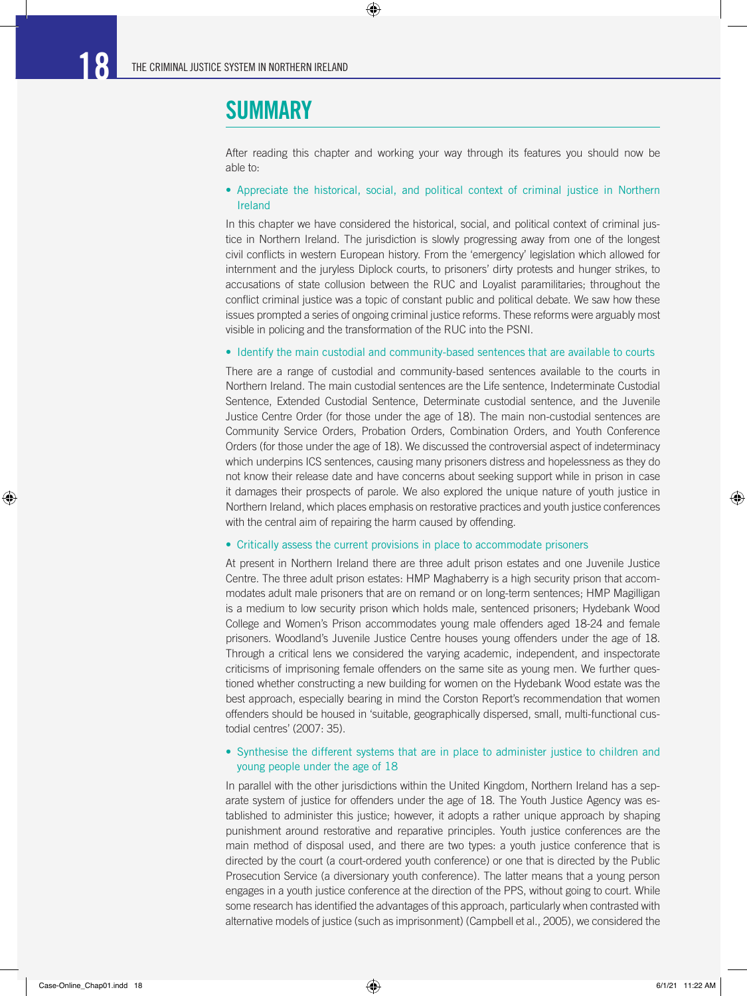## **SUMMARY**

After reading this chapter and working your way through its features you should now be able to:

 $\bigoplus$ 

#### • Appreciate the historical, social, and political context of criminal justice in Northern Ireland

In this chapter we have considered the historical, social, and political context of criminal justice in Northern Ireland. The jurisdiction is slowly progressing away from one of the longest civil conflicts in western European history. From the 'emergency' legislation which allowed for internment and the juryless Diplock courts, to prisoners' dirty protests and hunger strikes, to accusations of state collusion between the RUC and Loyalist paramilitaries; throughout the conflict criminal justice was a topic of constant public and political debate. We saw how these issues prompted a series of ongoing criminal justice reforms. These reforms were arguably most visible in policing and the transformation of the RUC into the PSNI.

#### • Identify the main custodial and community-based sentences that are available to courts

There are a range of custodial and community-based sentences available to the courts in Northern Ireland. The main custodial sentences are the Life sentence, Indeterminate Custodial Sentence, Extended Custodial Sentence, Determinate custodial sentence, and the Juvenile Justice Centre Order (for those under the age of 18). The main non-custodial sentences are Community Service Orders, Probation Orders, Combination Orders, and Youth Conference Orders (for those under the age of 18). We discussed the controversial aspect of indeterminacy which underpins ICS sentences, causing many prisoners distress and hopelessness as they do not know their release date and have concerns about seeking support while in prison in case it damages their prospects of parole. We also explored the unique nature of youth justice in Northern Ireland, which places emphasis on restorative practices and youth justice conferences with the central aim of repairing the harm caused by offending.

#### • Critically assess the current provisions in place to accommodate prisoners

At present in Northern Ireland there are three adult prison estates and one Juvenile Justice Centre. The three adult prison estates: HMP Maghaberry is a high security prison that accommodates adult male prisoners that are on remand or on long-term sentences; HMP Magilligan is a medium to low security prison which holds male, sentenced prisoners; Hydebank Wood College and Women's Prison accommodates young male offenders aged 18-24 and female prisoners. Woodland's Juvenile Justice Centre houses young offenders under the age of 18. Through a critical lens we considered the varying academic, independent, and inspectorate criticisms of imprisoning female offenders on the same site as young men. We further questioned whether constructing a new building for women on the Hydebank Wood estate was the best approach, especially bearing in mind the Corston Report's recommendation that women offenders should be housed in 'suitable, geographically dispersed, small, multi-functional custodial centres' (2007: 35).

#### • Synthesise the different systems that are in place to administer justice to children and young people under the age of 18

In parallel with the other jurisdictions within the United Kingdom, Northern Ireland has a separate system of justice for offenders under the age of 18. The Youth Justice Agency was established to administer this justice; however, it adopts a rather unique approach by shaping punishment around restorative and reparative principles. Youth justice conferences are the main method of disposal used, and there are two types: a youth justice conference that is directed by the court (a court-ordered youth conference) or one that is directed by the Public Prosecution Service (a diversionary youth conference). The latter means that a young person engages in a youth justice conference at the direction of the PPS, without going to court. While some research has identified the advantages of this approach, particularly when contrasted with alternative models of justice (such as imprisonment) (Campbell et al., 2005), we considered the

⊕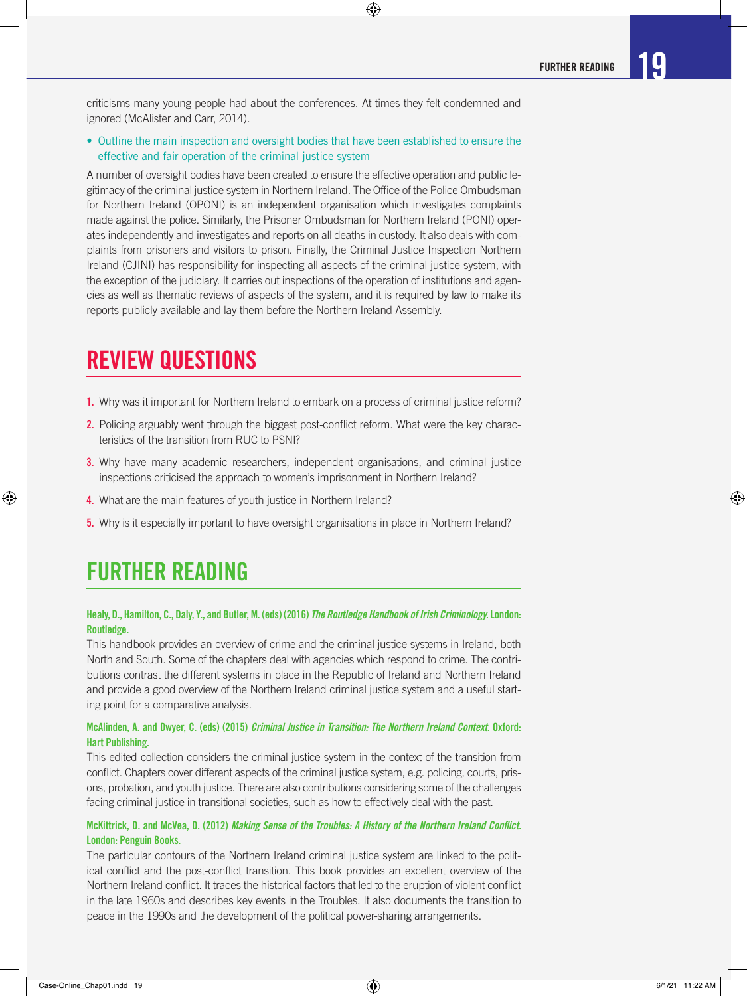criticisms many young people had about the conferences. At times they felt condemned and ignored (McAlister and Carr, 2014).

 $\bigoplus$ 

• Outline the main inspection and oversight bodies that have been established to ensure the effective and fair operation of the criminal justice system

A number of oversight bodies have been created to ensure the effective operation and public legitimacy of the criminal justice system in Northern Ireland. The Office of the Police Ombudsman for Northern Ireland (OPONI) is an independent organisation which investigates complaints made against the police. Similarly, the Prisoner Ombudsman for Northern Ireland (PONI) operates independently and investigates and reports on all deaths in custody. It also deals with complaints from prisoners and visitors to prison. Finally, the Criminal Justice Inspection Northern Ireland (CJINI) has responsibility for inspecting all aspects of the criminal justice system, with the exception of the judiciary. It carries out inspections of the operation of institutions and agencies as well as thematic reviews of aspects of the system, and it is required by law to make its reports publicly available and lay them before the Northern Ireland Assembly.

## REVIEW QUESTIONS

- 1. Why was it important for Northern Ireland to embark on a process of criminal justice reform?
- 2. Policing arguably went through the biggest post-conflict reform. What were the key characteristics of the transition from RUC to PSNI?
- **3.** Why have many academic researchers, independent organisations, and criminal justice inspections criticised the approach to women's imprisonment in Northern Ireland?
- 4. What are the main features of youth justice in Northern Ireland?
- **5.** Why is it especially important to have oversight organisations in place in Northern Ireland?

## FURTHER READING

⊕

#### Healy, D., Hamilton, C., Daly, Y., and Butler, M. (eds) (2016) *The Routledge Handbook of Irish Criminology.* London: Routledge.

This handbook provides an overview of crime and the criminal justice systems in Ireland, both North and South. Some of the chapters deal with agencies which respond to crime. The contributions contrast the different systems in place in the Republic of Ireland and Northern Ireland and provide a good overview of the Northern Ireland criminal justice system and a useful starting point for a comparative analysis.

#### McAlinden, A. and Dwyer, C. (eds) (2015) *Criminal Justice in Transition: The Northern Ireland Context.* Oxford: Hart Publishing.

This edited collection considers the criminal justice system in the context of the transition from conflict. Chapters cover different aspects of the criminal justice system, e.g. policing, courts, prisons, probation, and youth justice. There are also contributions considering some of the challenges facing criminal justice in transitional societies, such as how to effectively deal with the past.

#### McKittrick, D. and McVea, D. (2012) *Making Sense of the Troubles: A History of the Northern Ireland Conflict.* London: Penguin Books.

The particular contours of the Northern Ireland criminal justice system are linked to the political conflict and the post-conflict transition. This book provides an excellent overview of the Northern Ireland conflict. It traces the historical factors that led to the eruption of violent conflict in the late 1960s and describes key events in the Troubles. It also documents the transition to peace in the 1990s and the development of the political power-sharing arrangements.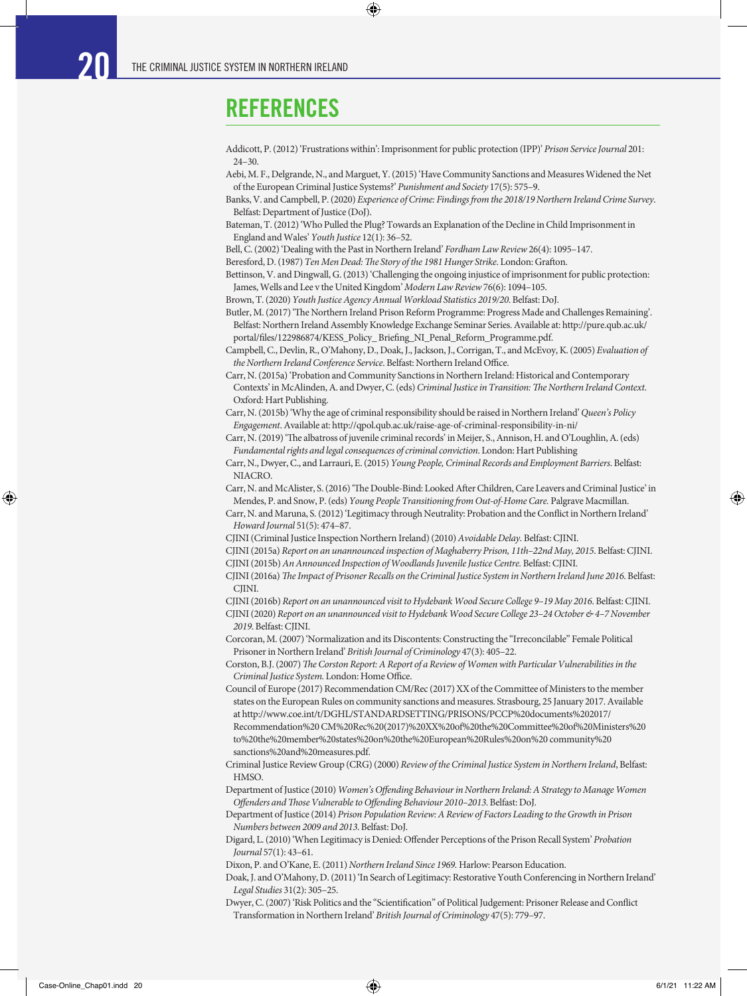## REFERENCES

Addicott, P. (2012) 'Frustrations within': Imprisonment for public protection (IPP)' *Prison Service Journal* 201: 24–30.

Aebi, M. F., Delgrande, N., and Marguet, Y. (2015) 'Have Community Sanctions and Measures Widened the Net of the European Criminal Justice Systems?' *Punishment and Society* 17(5): 575–9.

Banks, V. and Campbell, P. (2020) *Experience of Crime: Findings from the 2018/19 Northern Ireland Crime Survey*. Belfast: Department of Justice (DoJ).

Bateman, T. (2012) 'Who Pulled the Plug? Towards an Explanation of the Decline in Child Imprisonment in England and Wales' *Youth Justice* 12(1): 36–52.

Bell, C. (2002) 'Dealing with the Past in Northern Ireland' *Fordham Law Review* 26(4): 1095–147.

Beresford, D. (1987) *Ten Men Dead: The Story of the 1981 Hunger Strike*. London: Grafton.

 $\bigcirc$ 

Bettinson, V. and Dingwall, G. (2013) 'Challenging the ongoing injustice of imprisonment for public protection: James, Wells and Lee v the United Kingdom' *Modern Law Review* 76(6): 1094–105.

Brown, T. (2020) *Youth Justice Agency Annual Workload Statistics 2019/20*. Belfast: DoJ.

Butler, M. (2017) 'The Northern Ireland Prison Reform Programme: Progress Made and Challenges Remaining'. Belfast: Northern Ireland Assembly Knowledge Exchange Seminar Series. Available at: http://pure.qub.ac.uk/ portal/files/122986874/KESS\_Policy\_ Briefing\_NI\_Penal\_Reform\_Programme.pdf.

Campbell, C., Devlin, R., O'Mahony, D., Doak, J., Jackson, J., Corrigan, T., and McEvoy, K. (2005) *Evaluation of the Northern Ireland Conference Service*. Belfast: Northern Ireland Office.

Carr, N. (2015a) 'Probation and Community Sanctions in Northern Ireland: Historical and Contemporary Contexts' in McAlinden, A. and Dwyer, C. (eds) *Criminal Justice in Transition: The Northern Ireland Context*. Oxford: Hart Publishing.

Carr, N. (2015b) 'Why the age of criminal responsibility should be raised in Northern Ireland' *Queen's Policy Engagement*. Available at: http://qpol.qub.ac.uk/raise-age-of-criminal-responsibility-in-ni/

Carr, N. (2019) 'The albatross of juvenile criminal records' in Meijer, S., Annison, H. and O'Loughlin, A. (eds) *Fundamental rights and legal consequences of criminal conviction*. London: Hart Publishing

Carr, N., Dwyer, C., and Larrauri, E. (2015) *Young People, Criminal Records and Employment Barriers*. Belfast: **NIACRO** 

Carr, N. and McAlister, S. (2016) 'The Double-Bind: Looked After Children, Care Leavers and Criminal Justice' in Mendes, P. and Snow, P. (eds) *Young People Transitioning from Out-of-Home Care.* Palgrave Macmillan.

Carr, N. and Maruna, S. (2012) 'Legitimacy through Neutrality: Probation and the Conflict in Northern Ireland' *Howard Journal* 51(5): 474–87.

CJINI (Criminal Justice Inspection Northern Ireland) (2010) *Avoidable Delay.* Belfast: CJINI.

CJINI (2015a) *Report on an unannounced inspection of Maghaberry Prison, 11th–22nd May, 2015*. Belfast: CJINI.

CJINI (2015b) *An Announced Inspection of Woodlands Juvenile Justice Centre.* Belfast: CJINI.

CJINI (2016a) *The Impact of Prisoner Recalls on the Criminal Justice System in Northern Ireland June 2016*. Belfast: CIINI.

CJINI (2016b) *Report on an unannounced visit to Hydebank Wood Secure College 9–19 May 2016*. Belfast: CJINI.

CJINI (2020) *Report on an unannounced visit to Hydebank Wood Secure College 23–24 October & 4–7 November 2019*. Belfast: CJINI.

Corcoran, M. (2007) 'Normalization and its Discontents: Constructing the "Irreconcilable" Female Political Prisoner in Northern Ireland' *British Journal of Criminology* 47(3): 405–22.

Corston, B.J. (2007) *The Corston Report: A Report of a Review of Women with Particular Vulnerabilities in the Criminal Justice System.* London: Home Office.

Council of Europe (2017) Recommendation CM/Rec (2017) XX of the Committee of Ministers to the member states on the European Rules on community sanctions and measures. Strasbourg, 25 January 2017. Available at http://www.coe.int/t/DGHL/STANDARDSETTING/PRISONS/PCCP%20documents%202017/ Recommendation%20 CM%20Rec%20(2017)%20XX%20of%20the%20Committee%20of%20Ministers%20

to%20the%20member%20states%20on%20the%20European%20Rules%20on%20 community%20 sanctions%20and%20measures.pdf.

Criminal Justice Review Group (CRG) (2000) *Review of the Criminal Justice System in Northern Ireland*, Belfast: **HMSO** 

Department of Justice (2010) *Women's Offending Behaviour in Northern Ireland: A Strategy to Manage Women Offenders and Those Vulnerable to Offending Behaviour 2010–2013*. Belfast: DoJ.

Department of Justice (2014) *Prison Population Review: A Review of Factors Leading to the Growth in Prison Numbers between 2009 and 2013*. Belfast: DoJ.

Digard, L. (2010) 'When Legitimacy is Denied: Offender Perceptions of the Prison Recall System' *Probation Journal* 57(1): 43–61.

Dixon, P. and O'Kane, E. (2011) *Northern Ireland Since 1969.* Harlow: Pearson Education.

Doak, J. and O'Mahony, D. (2011) 'In Search of Legitimacy: Restorative Youth Conferencing in Northern Ireland' *Legal Studies* 31(2): 305–25.

Dwyer, C. (2007) 'Risk Politics and the "Scientification" of Political Judgement: Prisoner Release and Conflict Transformation in Northern Ireland' *British Journal of Criminology* 47(5): 779–97.

⊕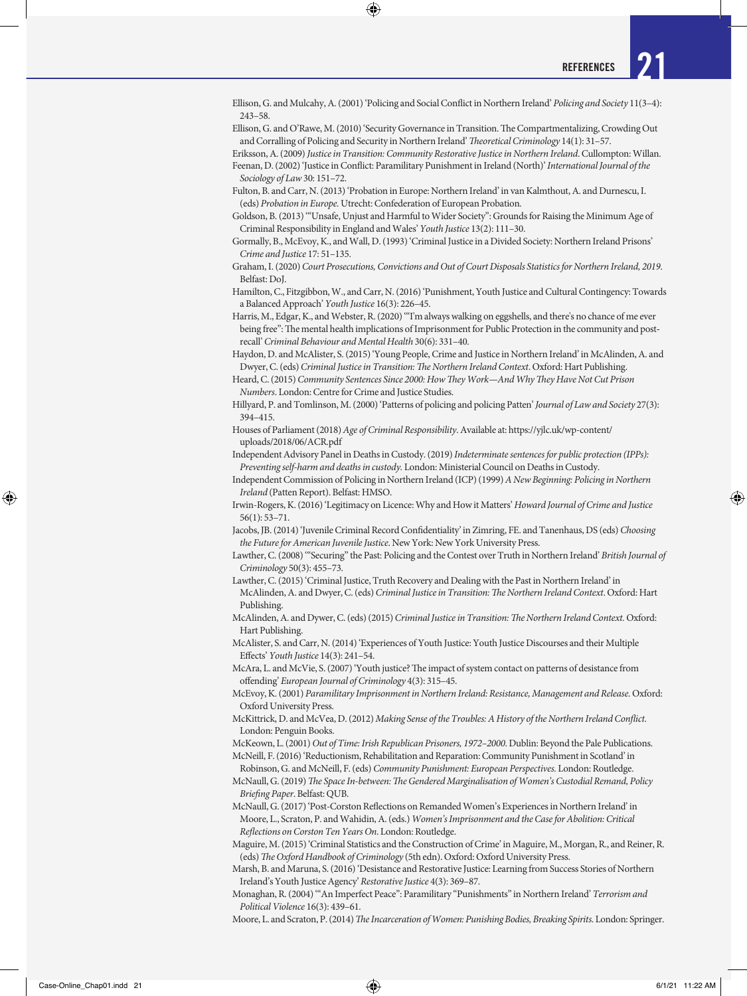Ellison, G. and Mulcahy, A. (2001) 'Policing and Social Conflict in Northern Ireland' *Policing and Society* 11(3–4): 243–58.

 $\bigcirc$ 

Ellison, G. and O'Rawe, M. (2010) 'Security Governance in Transition. The Compartmentalizing, Crowding Out and Corralling of Policing and Security in Northern Ireland' *Theoretical Criminology* 14(1): 31–57.

Eriksson, A. (2009) *Justice in Transition: Community Restorative Justice in Northern Ireland*. Cullompton: Willan. Feenan, D. (2002) 'Justice in Conflict: Paramilitary Punishment in Ireland (North)' *International Journal of the Sociology of Law* 30: 151–72.

Fulton, B. and Carr, N. (2013) 'Probation in Europe: Northern Ireland' in van Kalmthout, A. and Durnescu, I. (eds) *Probation in Europe.* Utrecht: Confederation of European Probation.

Goldson, B. (2013) '"Unsafe, Unjust and Harmful to Wider Society": Grounds for Raising the Minimum Age of Criminal Responsibility in England and Wales' *Youth Justice* 13(2): 111–30.

Gormally, B., McEvoy, K., and Wall, D. (1993) 'Criminal Justice in a Divided Society: Northern Ireland Prisons' *Crime and Justice* 17: 51–135.

Graham, I. (2020) *Court Prosecutions, Convictions and Out of Court Disposals Statistics for Northern Ireland, 2019*. Belfast: DoJ.

Hamilton, C., Fitzgibbon, W., and Carr, N. (2016) 'Punishment, Youth Justice and Cultural Contingency: Towards a Balanced Approach' *Youth Justice* 16(3): 226–45.

Harris, M., Edgar, K., and Webster, R. (2020) '"I'm always walking on eggshells, and there's no chance of me ever being free": The mental health implications of Imprisonment for Public Protection in the community and postrecall' *Criminal Behaviour and Mental Health* 30(6): 331–40.

Haydon, D. and McAlister, S. (2015) 'Young People, Crime and Justice in Northern Ireland' in McAlinden, A. and Dwyer, C. (eds) *Criminal Justice in Transition: The Northern Ireland Context*. Oxford: Hart Publishing.

Heard, C. (2015) *Community Sentences Since 2000: How They Work—And Why They Have Not Cut Prison Numbers*. London: Centre for Crime and Justice Studies.

Hillyard, P. and Tomlinson, M. (2000) 'Patterns of policing and policing Patten' *Journal of Law and Society* 27(3): 394–415.

Houses of Parliament (2018) *Age of Criminal Responsibility*. Available at: https://yjlc.uk/wp-content/ uploads/2018/06/ACR.pdf

Independent Advisory Panel in Deaths in Custody. (2019) *Indeterminate sentences for public protection (IPPs): Preventing self-harm and deaths in custody.* London: Ministerial Council on Deaths in Custody.

Independent Commission of Policing in Northern Ireland (ICP) (1999) *A New Beginning: Policing in Northern Ireland* (Patten Report). Belfast: HMSO.

Irwin-Rogers, K. (2016) 'Legitimacy on Licence: Why and How it Matters' *Howard Journal of Crime and Justice* 56(1): 53–71.

Jacobs, JB. (2014) 'Juvenile Criminal Record Confidentiality' in Zimring, FE. and Tanenhaus, DS (eds) *Choosing the Future for American Juvenile Justice*. New York: New York University Press.

Lawther, C. (2008) '"Securing" the Past: Policing and the Contest over Truth in Northern Ireland' *British Journal of Criminology* 50(3): 455–73.

Lawther, C. (2015) 'Criminal Justice, Truth Recovery and Dealing with the Past in Northern Ireland' in McAlinden, A. and Dwyer, C. (eds) *Criminal Justice in Transition: The Northern Ireland Context*. Oxford: Hart Publishing.

McAlinden, A. and Dywer, C. (eds) (2015) *Criminal Justice in Transition: The Northern Ireland Context.* Oxford: Hart Publishing.

McAlister, S. and Carr, N. (2014) 'Experiences of Youth Justice: Youth Justice Discourses and their Multiple Effects' *Youth Justice* 14(3): 241–54.

McAra, L. and McVie, S. (2007) 'Youth justice? The impact of system contact on patterns of desistance from offending' *European Journal of Criminology* 4(3): 315–45.

McEvoy, K. (2001) *Paramilitary Imprisonment in Northern Ireland: Resistance, Management and Release.* Oxford: Oxford University Press.

McKittrick, D. and McVea, D. (2012) *Making Sense of the Troubles: A History of the Northern Ireland Conflict*. London: Penguin Books.

McKeown, L. (2001) *Out of Time: Irish Republican Prisoners, 1972–2000*. Dublin: Beyond the Pale Publications. McNeill, F. (2016) 'Reductionism, Rehabilitation and Reparation: Community Punishment in Scotland' in

Robinson, G. and McNeill, F. (eds) *Community Punishment: European Perspectives.* London: Routledge. McNaull, G. (2019) *The Space In-between: The Gendered Marginalisation of Women's Custodial Remand, Policy Briefing Paper*. Belfast: QUB.

McNaull, G. (2017) 'Post-Corston Reflections on Remanded Women's Experiences in Northern Ireland' in Moore, L., Scraton, P. and Wahidin, A. (eds.) *Women's Imprisonment and the Case for Abolition: Critical Reflections on Corston Ten Years On*. London: Routledge.

Maguire, M. (2015) 'Criminal Statistics and the Construction of Crime' in Maguire, M., Morgan, R., and Reiner, R. (eds) *The Oxford Handbook of Criminology* (5th edn). Oxford: Oxford University Press.

Marsh, B. and Maruna, S. (2016) 'Desistance and Restorative Justice: Learning from Success Stories of Northern Ireland's Youth Justice Agency' *Restorative Justice* 4(3): 369–87.

Monaghan, R. (2004) '"An Imperfect Peace": Paramilitary "Punishments" in Northern Ireland' *Terrorism and Political Violence* 16(3): 439–61.

Moore, L. and Scraton, P. (2014) *The Incarceration of Women: Punishing Bodies, Breaking Spirits*. London: Springer.

⊕